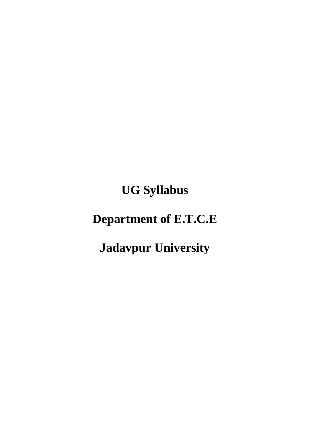**UG Syllabus**

# **Department of E.T.C.E**

# **Jadavpur University**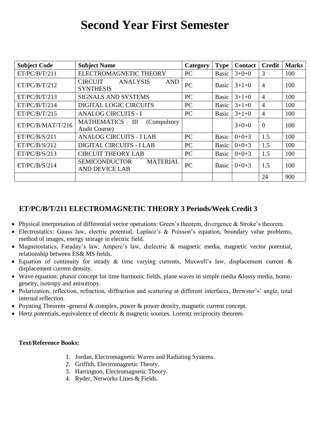# **Second Year First Semester**

| <b>Subject Code</b> | <b>Subject Name</b>                                                 | Category  | <b>Type</b>  | <b>Contact</b> | <b>Credit</b>  | <b>Marks</b> |
|---------------------|---------------------------------------------------------------------|-----------|--------------|----------------|----------------|--------------|
| ET/PC/B/T/211       | ELECTROMAGNETIC THEORY                                              | PC        | Basic        | $3+0+0$        | 3              | 100          |
| ET/PC/B/T/212       | <b>CIRCUIT</b><br><b>ANALYSIS</b><br><b>AND</b><br><b>SYNTHESIS</b> | <b>PC</b> | <b>Basic</b> | $3+1+0$        | $\overline{4}$ | 100          |
| ET/PC/B/T/213       | <b>SIGNALS AND SYSTEMS</b>                                          | PC        | Basic        | $3+1+0$        | $\overline{4}$ | 100          |
| ET/PC/B/T/214       | <b>DIGITAL LOGIC CIRCUITS</b>                                       | PC        | Basic        | $3+1+0$        | $\overline{4}$ | 100          |
| ET/PC/B/T/215       | <b>ANALOG CIRCUITS - I</b>                                          | PC        | Basic        | $3+1+0$        | $\overline{4}$ | 100          |
| ET/PC/B/MAT/T/216   | <b>MATHEMATICS</b><br>Ш<br>(Compulsory)<br><b>Audit Course</b> )    |           |              | $3+0+0$        | $\overline{0}$ | 100          |
| ET/PC/B/S/211       | <b>ANALOG CIRCUITS - I LAB</b>                                      | PC        | Basic        | $0+0+3$        | 1.5            | 100          |
| ET/PC/B/S/212       | <b>DIGITAL CIRCUITS - I LAB</b>                                     | PC        | Basic        | $0+0+3$        | 1.5            | 100          |
| ET/PC/B/S/213       | <b>CIRCUIT THEORY LAB</b>                                           | PC        | Basic        | $0+0+3$        | 1.5            | 100          |
| ET/PC/B/S/214       | <b>SEMICONDUCTOR</b><br><b>MATERIAL</b><br><b>AND DEVICE LAB</b>    | PC        | Basic        | $0+0+3$        | 1.5            | 100          |
|                     |                                                                     |           |              |                | 24             | 900          |

# **ET/PC/B/T/211 ELECTROMAGNETIC THEORY 3 Periods/Week Credit 3**

- Physical interpretation of differential vector operations: Green's theorem, divergence & Stroke's theorem.
- Electrostatics: Gauss law, electric potential, Laplace's & Poisson's equation, boundary value problems, method of images, energy storage in electric field.
- Magnetostatics, Faraday's law, Ampere's law, dielectric & magnetic media, magnetic vector potential, relationship between ES& MS fields.
- Equation of continuity for steady & time varying currents, Maxwell's law, displacement current & displacement current density.
- Wave equation: phasor concept for time harmonic fields, plane waves in simple media &lossy media, homogeneity, isotropy and anisotropy.
- Polarization, reflection, refraction, diffraction and scattering at different interfaces, Brewster's' angle, total internal reflection.
- Poynting Theorem -general  $&$  complex, power  $&$  power density, magnetic current concept.
- Hertz potentials, equivalence of electric & magnetic sources. Lorentz reciprocity theorem.

#### **Text/Reference Books:**

- 1. Jordan, Electromagnetic Waves and Radiating Systems.
- 2. Griffith, Electromagnetic Theory.
- 3. Harrington, Electromagnetic Theory.
- 4. Ryder, Networks Lines & Fields.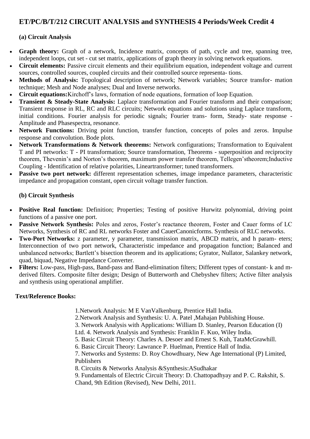# **ET/PC/B/T/212 CIRCUIT ANALYSIS and SYNTHESIS 4 Periods/Week Credit 4**

# **(a) Circuit Analysis**

- Graph theory: Graph of a network, Incidence matrix, concepts of path, cycle and tree, spanning tree, independent loops, cut set - cut set matrix, applications of graph theory in solving network equations.
- **Circuit elements:** Passive circuit elements and their equilibrium equation, independent voltage and current sources, controlled sources, coupled circuits and their controlled source representa- tions.
- **Methods of Analysis:** Topological description of network; Network variables; Source transfor- mation technique; Mesh and Node analyses; Dual and Inverse networks.
- **Circuit equations:**Kirchoff's laws, formation of node equations, formation of loop Equation.
- **Transient & Steady-State Analysis:** Laplace transformation and Fourier transform and their comparison; Transient response in RL, RC and RLC circuits; Network equations and solutions using Laplace transform, initial conditions. Fourier analysis for periodic signals; Fourier trans- form, Steady- state response - Amplitude and Phasespectra, resonance.
- **Network Functions:** Driving point function, transfer function, concepts of poles and zeros. Impulse response and convolution. Bode plots.
- **Network Transformations & Network theorems:** Network configurations; Transformation to Equivalent T and PI networks: T - PI transformation; Source transformation, Theorems - superposition and reciprocity theorem, Thevenin's and Norton's theorem, maximum power transfer theorem, Tellegen'stheorem;Inductive Coupling - Identification of relative polarities, Lineartransformer; tuned transformers.
- Passive two port network: different representation schemes, image impedance parameters, characteristic impedance and propagation constant, open circuit voltage transfer function.

# **(b) Circuit Synthesis**

- **Positive Real function:** Definition; Properties; Testing of positive Hurwitz polynomial, driving point functions of a passive one port.
- **Passive Network Synthesis:** Poles and zeros, Foster's reactance theorem, Foster and Cauer forms of LC Networks, Synthesis of RC and RL networks Foster and CauerCanonicforms. Synthesis of RLC networks.
- **Two-Port Networks:** z parameter, y parameter, transmission matrix, ABCD matrix, and h param- eters; Interconnection of two port network, Characteristic impedance and propagation function; Balanced and unbalanced networks; Bartlett's bisection theorem and its applications; Gyrator, Nullator, Salankey network, quad, biquad, Negative Impedance Converter.
- **Filters:** Low-pass, High-pass, Band-pass and Band-elimination filters; Different types of constant- k and mderived filters. Composite filter design; Design of Butterworth and Chebyshev filters; Active filter analysis and synthesis using operational amplifier.

# **Text/Reference Books:**

1.Network Analysis: M E VanValkenburg, Prentice Hall India.

2.Network Analysis and Synthesis: U. A. Patel ,Mahajan Publishing House.

3. Network Analysis with Applications: William D. Stanley, Pearson Education (I)

Ltd. 4. Network Analysis and Synthesis: Franklin F. Kuo, Wiley India.

- 5. Basic Circuit Theory: Charles A. Desoer and Ernest S. Kuh, TataMcGrawhill.
- 6. Basic Circuit Theory: Lawrance P. Huelman, Prentice Hall of India.

7. Networks and Systems: D. Roy Chowdhuary, New Age International (P) Limited, Publishers

- 8. Circuits & Networks Analysis &Synthesis:ASudhakar
- 9. Fundamentals of Electric Circuit Theory: D. Chattopadhyay and P. C. Rakshit, S. Chand, 9th Edition (Revised), New Delhi, 2011.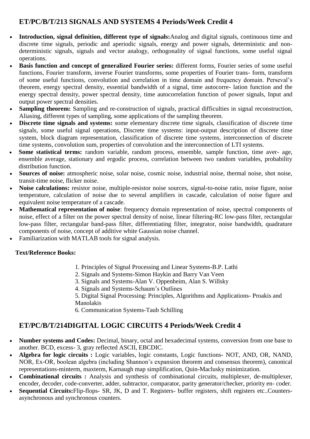# **ET/PC/B/T/213 SIGNALS AND SYSTEMS 4 Periods/Week Credit 4**

- **Introduction, signal definition, different type of signals:**Analog and digital signals, continuous time and discrete time signals, periodic and aperiodic signals, energy and power signals, deterministic and nondeterministic signals, signals and vector analogy, orthogonality of signal functions, some useful signal operations.
- **Basis function and concept of generalized Fourier series:** different forms, Fourier series of some useful functions, Fourier transform, inverse Fourier transforms, some properties of Fourier trans- form, transform of some useful functions, convolution and correlation in time domain and frequency domain. Perseval's theorem, energy spectral density, essential bandwidth of a signal, time autocorre- lation function and the energy spectral density, power spectral density, time autocorrelation function of power signals, Input and output power spectral densities.
- **Sampling theorem:** Sampling and re-construction of signals, practical difficulties in signal reconstruction, Aliasing, different types of sampling, some applications of the sampling theorem.
- **Discrete time signals and systems:** some elementary discrete time signals, classification of discrete time signals, some useful signal operations, Discrete time systems: input-output description of discrete time system, block diagram representation, classification of discrete time systems, interconnection of discrete time systems, convolution sum, properties of convolution and the interconnection of LTI systems.
- **Some statistical terms:** random variable, random process, ensemble, sample function, time aver- age, ensemble average, stationary and ergodic process, correlation between two random variables, probability distribution function.
- **Sources of noise:** atmospheric noise, solar noise, cosmic noise, industrial noise, thermal noise, shot noise, transit-time noise, flicker noise.
- **Noise calculations:** resistor noise, multiple-resistor noise sources, signal-to-noise ratio, noise figure, noise temperature, calculation of noise due to several amplifiers in cascade, calculation of noise figure and equivalent noise temperature of a cascade.
- **Mathematical representation of noise**: frequency domain representation of noise, spectral components of noise, effect of a filter on the power spectral density of noise, linear filtering-RC low-pass filter, rectangular low-pass filter, rectangular band-pass filter, differentiating filter, integrator, noise bandwidth, quadrature components of noise, concept of additive white Gaussian noise channel.
- Familiarization with MATLAB tools for signal analysis.

# **Text/Reference Books:**

- 1. Principles of Signal Processing and Linear Systems-B.P. Lathi
- 2. Signals and Systems-Simon Haykin and Barry Van Veen
- 3. Signals and Systems-Alan V. Oppenheim, Alan S. Willsky
- 4. Signals and Systems-Schaum's Outlines
- 5. Digital Signal Processing: Principles, Algorithms and Applications- Proakis and Manolakis
- 6. Communication Systems-Taub Schilling

# **ET/PC/B/T/214DIGITAL LOGIC CIRCUITS 4 Periods/Week Credit 4**

- **Number systems and Codes:** Decimal, binary, octal and hexadecimal systems, conversion from one base to another. BCD, excess- 3, gray reflected ASCII, EBCDIC.
- **Algebra for logic circuits :** Logic variables, logic constants, Logic functions- NOT, AND, OR, NAND, NOR, Ex-OR, boolean algebra (including Shannon's expansion theorem and consensus theorem), canonical representations-minterm, maxterm, Karnaugh map simplification, Quin-Maclusky minimization.
- **Combinational circuits :** Analysis and synthesis of combinational circuits, multiplexer, de-multiplexer, encoder, decoder, code-converter, adder, subtractor, comparator, parity generator/checker, priority en- coder.
- **Sequential Circuits:**Flip-flops- SR, JK, D and T. Registers- buffer registers, shift registers etc..Countersasynchronous and synchronous counters.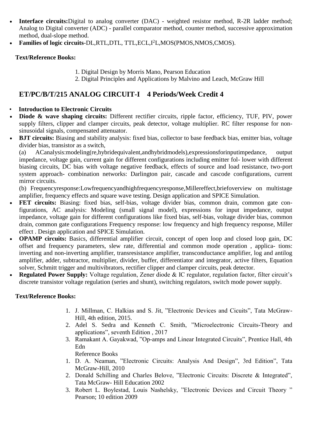- **Interface circuits:**Digital to analog converter (DAC) weighted resistor method, R-2R ladder method; Analog to Digital converter (ADC) - parallel comparator method, counter method, successive approximation method, dual-slope method.
- Families of logic circuits-DL,RTL,DTL, TTL,ECL,I<sup>2</sup>L,MOS(PMOS,NMOS,CMOS).

# **Text/Reference Books:**

- 1. Digital Design by Morris Mano, Pearson Education
- 2. Digital Principles and Applications by Malvino and Leach, McGraw Hill

# **ET/PC/B/T/215 ANALOG CIRCUIT-I 4 Periods/Week Credit 4**

- **Introduction to Electronic Circuits**
- **Diode & wave shaping circuits:** Different rectifier circuits, ripple factor, efficiency, TUF, PIV, power supply filters, clipper and clamper circuits, peak detector, voltage multiplier. RC filter response for nonsinusoidal signals, compensated attenuator.
- **BJT circuits:** Biasing and stability analysis: fixed bias, collector to base feedback bias, emitter bias, voltage divider bias, transistor as a switch,

(a) ACanalysis:modeling(re,hybridequivalent,andhybridmodels),expressionsforinputimpedance, output impedance, voltage gain, current gain for different configurations including emitter fol- lower with different biasing circuits, DC bias with voltage negative feedback, effects of source and load resistance, two-port system approach- combination networks: Darlington pair, cascade and cascode configurations, current mirror circuits.

(b) Frequencyresponse:Lowfrequencyandhighfrequencyresponse,Millereffect,briefoverview on multistage amplifier, frequency effects and square wave testing. Design application and SPICE Simulation.

- **FET circuits:** Biasing: fixed bias, self-bias, voltage divider bias, common drain, common gate configurations, AC analysis: Modeling (small signal model), expressions for input impedance, output impedance, voltage gain for different configurations like fixed bias, self-bias, voltage divider bias, common drain, common gate configurations Frequency response: low frequency and high frequency response, Miller effect . Design application and SPICE Simulation.
- **OPAMP circuits:** Basics, differential amplifier circuit, concept of open loop and closed loop gain, DC offset and frequency parameters, slew rate, differential and common mode operation , applica- tions: inverting and non-inverting amplifier, transresistance amplifier, transconductance amplifier, log and antilog amplifier, adder, subtractor, multiplier, divider, buffer, differentiator and integrator, active filters, Equation solver, Schmitt trigger and multivibrators, rectifier clipper and clamper circuits, peak detector.
- **Regulated Power Supply:** Voltage regulation, Zener diode & IC regulator, regulation factor, filter circuit's discrete transistor voltage regulation (series and shunt), switching regulators, switch mode power supply.

# **Text/Reference Books:**

- 1. J. Millman, C. Halkias and S. Jit, "Electronic Devices and Cicuits", Tata McGraw-Hill, 4th edition, 2015.
- 2. Adel S. Sedra and Kenneth C. Smith, "Microelectronic Circuits-Theory and applications", seventh Edition, 2017
- 3. Ramakant A. Gayakwad, "Op-amps and Linear Integrated Circuits", Prentice Hall, 4th Edn Reference Books
- 1. D. A. Neaman, "Electronic Circuits: Analysis And Design", 3rd Edition", Tata McGraw-Hill, 2010
- 2. Donald Schilling and Charles Belove, "Electronic Circuits: Discrete & Integrated", Tata McGraw- Hill Education 2002
- 3. Robert L. Boylestad, Louis Nashelsky, "Electronic Devices and Circuit Theory " Pearson; 10 edition 2009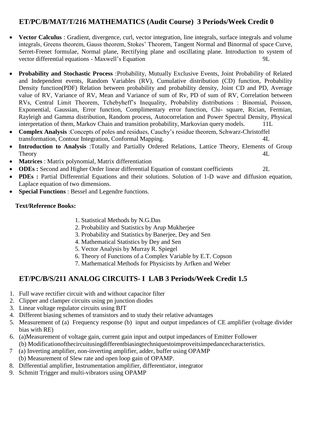# **ET/PC/B/MAT/T/216 MATHEMATICS (Audit Course) 3 Periods/Week Credit 0**

- **Vector Calculus** : Gradient, divergence, curl, vector integration, line integrals, surface integrals and volume integrals, Greens theorem, Gauss theorem, Stokes' Theorem, Tangent Normal and Binormal of space Curve, Serret-Frenet formulae, Normal plane, Rectifying plane and oscillating plane. Introduction to system of vector differential equations - Maxwell's Equation 9L
- **Probability and Stochastic Process** :Probability, Mutually Exclusive Events, Joint Probability of Related and Independent events, Random Variables (RV), Cumulative distribution (CD) function, Probability Density function(PDF) Relation between probability and probability density, Joint CD and PD, Average value of RV, Variance of RV, Mean and Variance of sum of Rv, PD of sum of RV, Correlation between RVs, Central Limit Theorem, Tchebyheff's Inequality, Probability distributions : Binomial, Poisson, Exponential, Gaussian, Error function, Complimentary error function, Chi- square, Rician, Fermian, Rayleigh and Gamma distribution, Random process, Autocorrelation and Power Spectral Density, Physical interpretation of them, Markov Chain and transition probability, Markovian query models. 11L
- **Complex Analysis** :Concepts of poles and residues, Cauchy's residue theorem, Schwarz-Christoffel transformation, Contour Integration, Conformal Mapping. 4L
- **Introduction to Analysis** :Totally and Partially Ordered Relations, Lattice Theory, Elements of Group Theory and the state of the state of the state of the state of the state of the state of the state of the state of the state of the state of the state of the state of the state of the state of the state of the state of the
- **Matrices** : Matrix polynomial, Matrix differentiation
- **ODEs :** Second and Higher Order linear differential Equation of constant coefficients 2L
- **PDEs :** Partial Differential Equations and their solutions. Solution of 1-D wave and diffusion equation, Laplace equation of two dimensions.
- **Special Functions** : Bessel and Legendre functions.

# **Text/Reference Books:**

- 1. Statistical Methods by N.G.Das
- 2. Probability and Statistics by Arup Mukherjee
- 3. Probability and Statistics by Banerjee, Dey and Sen
- 4. Mathematical Statistics by Dey and Sen
- 5. Vector Analysis by Murray R. Spiegel
- 6. Theory of Functions of a Complex Variable by E.T. Copson
- 7. Mathematical Methods for Physicists by Arfken and Weber

# **ET/PC/B/S/211 ANALOG CIRCUITS- I LAB 3 Periods/Week Credit 1.5**

- 1. Full wave rectifier circuit with and without capacitor filter
- 2. Clipper and clamper circuits using pn junction diodes
- 3. Linear voltage regulator circuits using BJT
- 4. Different biasing schemes of transistors and to study their relative advantages
- 5. Measurement of (a) Frequency response (b) input and output impedances of CE amplifier (voltage divider bias with RE)
- 6. (a)Measurement of voltage gain, current gain input and output impedances of Emitter Follower (b) Modificationofthecircuitusingdifferentbiasingtechniquestoimproveitsimpedancecharacteristics.
- 7 (a) Inverting amplifier, non-inverting amplifier, adder, buffer using OPAMP (b) Measurement of Slew rate and open loop gain of OPAMP.
- 8. Differential amplifier, Instrumentation amplifier, differentiator, integrator
- 9. Schmitt Trigger and multi-vibrators using OPAMP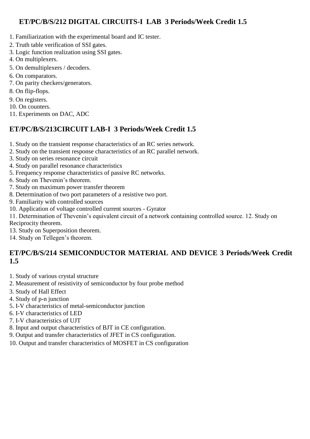# **ET/PC/B/S/212 DIGITAL CIRCUITS-I LAB 3 Periods/Week Credit 1.5**

- 1. Familiarization with the experimental board and IC tester.
- 2. Truth table verification of SSI gates.
- 3. Logic function realization using SSI gates.
- 4. On multiplexers.
- 5. On demultiplexers / decoders.
- 6. On comparators.
- 7. On parity checkers/generators.
- 8. On flip-flops.
- 9. On registers.
- 10. On counters.
- 11. Experiments on DAC, ADC

# **ET/PC/B/S/213CIRCUIT LAB-I 3 Periods/Week Credit 1.5**

- 1. Study on the transient response characteristics of an RC series network.
- 2. Study on the transient response characteristics of an RC parallel network.
- 3. Study on series resonance circuit
- 4. Study on parallel resonance characteristics
- 5. Frequency response characteristics of passive RC networks.
- 6. Study on Thevenin's theorem.
- 7. Study on maximum power transfer theorem
- 8. Determination of two port parameters of a resistive two port.
- 9. Familiarity with controlled sources
- 10. Application of voltage controlled current sources Gyrator

11. Determination of Thevenin's equivalent circuit of a network containing controlled source. 12. Study on Reciprocity theorem.

- 13. Study on Superposition theorem.
- 14. Study on Tellegen's theorem.

# **ET/PC/B/S/214 SEMICONDUCTOR MATERIAL AND DEVICE 3 Periods/Week Credit 1.5**

- 1. Study of various crystal structure
- 2. Measurement of resistivity of semiconductor by four probe method
- 3. Study of Hall Effect
- 4. Study of p-n junction
- 5. I-V characteristics of metal-semiconductor junction
- 6. I-V characteristics of LED
- 7. I-V characteristics of UJT
- 8. Input and output characteristics of BJT in CE configuration.
- 9. Output and transfer characteristics of JFET in CS configuration.
- 10. Output and transfer characteristics of MOSFET in CS configuration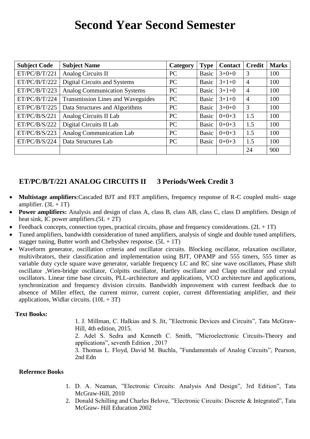# **Second Year Second Semester**

| <b>Subject Code</b> | <b>Subject Name</b>                      | Category  | <b>Type</b>  | <b>Contact</b> | <b>Credit</b>  | <b>Marks</b> |
|---------------------|------------------------------------------|-----------|--------------|----------------|----------------|--------------|
| ET/PC/B/T/221       | Analog Circuits II                       | PC        | <b>Basic</b> | $3+0+0$        | 3              | 100          |
| ET/PC/B/T/222       | Digital Circuits and Systems             | PC        | Basic        | $3+1+0$        | $\overline{4}$ | 100          |
| ET/PC/B/T/223       | <b>Analog Communication Systems</b>      | PC        | <b>Basic</b> | $3+1+0$        | $\overline{4}$ | 100          |
| ET/PC/B/T/224       | <b>Transmission Lines and Waveguides</b> | <b>PC</b> | <b>Basic</b> | $3+1+0$        | $\overline{4}$ | 100          |
| ET/PC/B/T/225       | Data Structures and Algorithms           | PC        | <b>Basic</b> | $3+0+0$        | 3              | 100          |
| ET/PC/B/S/221       | Analog Circuits II Lab                   | PC        | <b>Basic</b> | $0+0+3$        | 1.5            | 100          |
| ET/PC/B/S/222       | Digital Circuits II Lab                  | PC        | <b>Basic</b> | $0+0+3$        | 1.5            | 100          |
| ET/PC/B/S/223       | <b>Analog Communication Lab</b>          | PC        | <b>Basic</b> | $0+0+3$        | 1.5            | 100          |
| ET/PC/B/S/224       | Data Structures Lab                      | PC        | <b>Basic</b> | $0+0+3$        | 1.5            | 100          |
|                     |                                          |           |              |                | 24             | 900          |

# **ET/PC/B/T/221 ANALOG CIRCUITS II 3 Periods/Week Credit 3**

- **Multistage amplifiers**:Cascaded BJT and FET amplifiers, frequency response of R-C coupled multi- stage amplifier.  $(3L + 1T)$
- **Power amplifiers:** Analysis and design of class A, class B, class AB, class C, class D amplifiers. Design of heat sink, IC power amplifiers. $(5L + 2T)$
- Feedback concepts, connection types, practical circuits, phase and frequency considerations.  $(2L + 1T)$
- Tuned amplifiers, bandwidth consideration of tuned amplifiers, analysis of single and double tuned amplifiers, stagger tuning, Butter worth and Chebyshev response.  $(5L + 1T)$
- Waveform generator, oscillation criteria and oscillator circuits. Blocking oscillator, relaxation oscillator, multivibrators, their classification and implementation using BJT, OPAMP and 555 timers, 555 timer as variable duty cycle square wave generator, variable frequency LC and RC sine wave oscillators, Phase shift oscillator ,Wien-bridge oscillator, Colpitts oscillator, Hartley oscillator and Clapp oscillator and crystal oscillators. Linear time base circuits, PLL-architecture and applications, VCO architecture and applications, synchronization and frequency division circuits. Bandwidth improvement with current feedback due to absence of Miller effect, the current mirror, current copier, current differentiating amplifier, and their applications, Widlar circuits.  $(10L + 3T)$

#### **Text Books:**

1. J. Millman, C. Halkias and S. Jit, "Electronic Devices and Circuits", Tata McGraw-Hill, 4th edition, 2015.

2. Adel S. Sedra and Kenneth C. Smith, "Microelectronic Circuits-Theory and applications", seventh Edition, 2017

3. Thomas L. Floyd, David M. Buchla, "Fundamentals of Analog Circuits", Pearson, 2nd Edn

#### **Reference Books**

- 1. D. A. Neaman, "Electronic Circuits: Analysis And Design", 3rd Edition", Tata McGraw-Hill, 2010
- 2. Donald Schilling and Charles Belove, "Electronic Circuits: Discrete & Integrated", Tata McGraw- Hill Education 2002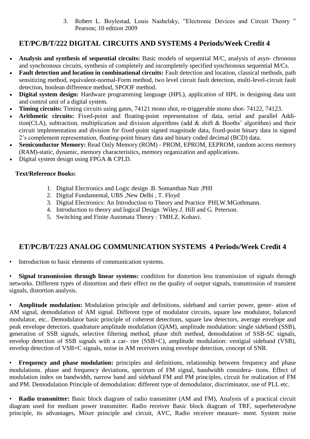3. Robert L. Boylestad, Louis Nashelsky, "Electronic Devices and Circuit Theory " Pearson; 10 edition 2009

# **ET/PC/B/T/222 DIGITAL CIRCUITS AND SYSTEMS 4 Periods/Week Credit 4**

- **Analysis and synthesis of sequential circuits:** Basic models of sequential M/C, analysis of asyn- chronous and synchronous circuits, synthesis of completely and incompletely specified synchronous sequential M/Cs.
- **Fault detection and location in combinational circuits:** Fault detection and location, classical methods, path sensitizing method, equivalent-normal-Form method, two level circuit fault detection, multi-level-circuit fault detection, boolean difference method, SPOOF method.
- **Digital system design:** Hardware programming language (HPL), application of HPL in designing data unit and control unit of a digital system.
- **Timing circuits:** Timing circuits using gates, 74121 mono shot, re-triggerable mono shot- 74122, 74123.
- **Arithmetic circuits:** Fixed-point and floating-point representation of data, serial and parallel Addition(CLA), subtraction, multiplication and division algorithms (add & shift & Booths' algorithm) and their circuit implementation and division for fixed-point signed magnitude data, fixed-point binary data in signed 2's complement representation, floating-point binary data and binary coded decimal (BCD) data.
- **Semiconductor Memory:** Read Only Memory (ROM) PROM, EPROM, EEPROM, random access memory (RAM)-static, dynamic, memory characteristics, memory organization and applications.
- Digital system design using FPGA & CPLD.

# **Text/Reference Books:**

- 1. Digital Electronics and Logic design .B. Somanthan Nair ,PHI
- 2. Digital Fundamental, UBS ,New Delhi , T. Floyd
- 3. Digital Electronics: An Introduction to Theory and Practice PHI,W.MGothmann.
- 4. Introduction to theory and logical Design :Wiley.J. Hill and G. Peterson.
- 5. Switching and Finite Automata Theory : TMH.Z. Kohavi.

# **ET/PC/B/T/223 ANALOG COMMUNICATION SYSTEMS 4 Periods/Week Credit 4**

• Introduction to basic elements of communication systems.

• **Signal transmission through linear systems:** condition for distortion less transmission of signals through networks. Different types of distortion and their effect on the quality of output signals, transmission of transient signals, distortion analysis.

• **Amplitude modulation:** Modulation principle and definitions, sideband and carrier power, gener- ation of AM signal, demodulation of AM signal. Different type of modulator circuits, square law modulator, balanced modulator, etc.. Demodulator basic principle of coherent detections, square law detectors, average envelope and peak envelope detectors. quadrature amplitude modulation (QAM), amplitude modulation: single sideband (SSB), generation of SSB signals, selective filtering method, phase shift method, demodulation of SSB-SC signals, envelop detection of SSB signals with a car- rier (SSB+C), amplitude modulation: vestigial sideband (VSB), envelop detection of VSB+C signals, noise in AM receivers using envelope detection, concept of SNR.

• **Frequency and phase modulation:** principles and definitions, relationship between frequency and phase modulations. phase and frequency deviations, spectrum of FM signal, bandwidth considera- tions. Effect of modulation index on bandwidth, narrow band and sideband FM and PM principles, circuit for realization of FM and PM. Demodulation Principle of demodulation: different type of demodulator, discriminator, use of PLL etc.

• **Radio transmitter:** Basic block diagram of radio transmitter (AM and FM), Analysis of a practical circuit diagram used for medium power transmitter. Radio receiver Basic block diagram of TRF, superheterodyne principle, its advantages, Mixer principle and circuit, AVC, Radio receiver measure- ment. System noise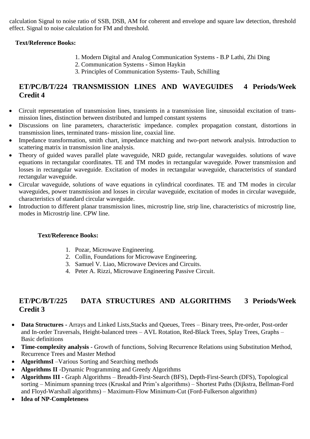calculation Signal to noise ratio of SSB, DSB, AM for coherent and envelope and square law detection, threshold effect. Signal to noise calculation for FM and threshold.

# **Text/Reference Books:**

- 1. Modern Digital and Analog Communication Systems B.P Lathi, Zhi Ding
- 2. Communication Systems Simon Haykin
- 3. Principles of Communication Systems- Taub, Schilling

# **ET/PC/B/T/224 TRANSMISSION LINES AND WAVEGUIDES 4 Periods/Week Credit 4**

- Circuit representation of transmission lines, transients in a transmission line, sinusoidal excitation of transmission lines, distinction between distributed and lumped constant systems
- Discussions on line parameters, characteristic impedance. complex propagation constant, distortions in transmission lines, terminated trans- mission line, coaxial line.
- Impedance transformation, smith chart, impedance matching and two-port network analysis. Introduction to scattering matrix in transmission line analysis.
- Theory of guided waves parallel plate waveguide, NRD guide, rectangular waveguides. solutions of wave equations in rectangular coordinates. TE and TM modes in rectangular waveguide. Power transmission and losses in rectangular waveguide. Excitation of modes in rectangular waveguide, characteristics of standard rectangular waveguide.
- Circular waveguide, solutions of wave equations in cylindrical coordinates. TE and TM modes in circular waveguides, power transmission and losses in circular waveguide, excitation of modes in circular waveguide, characteristics of standard circular waveguide.
- Introduction to different planar transmission lines, microstrip line, strip line, characteristics of microstrip line, modes in Microstrip line. CPW line.

# **Text/Reference Books:**

- 1. Pozar, Microwave Engineering.
- 2. Collin, Foundations for Microwave Engineering.
- 3. Samuel V. Liao, Microwave Devices and Circuits.
- 4. Peter A. Rizzi, Microwave Engineering Passive Circuit.

# **ET/PC/B/T/225 DATA STRUCTURES AND ALGORITHMS 3 Periods/Week Credit 3**

- **Data Structures -** Arrays and Linked Lists,Stacks and Queues, Trees Binary trees, Pre-order, Post-order and In-order Traversals, Height-balanced trees – AVL Rotation, Red-Black Trees, Splay Trees, Graphs – Basic definitions
- **Time-complexity analysis** Growth of functions, Solving Recurrence Relations using Substitution Method, Recurrence Trees and Master Method
- **AlgorithmsI** –Various Sorting and Searching methods
- **Algorithms II** -Dynamic Programming and Greedy Algorithms
- **Algorithms III -** Graph Algorithms Breadth-First-Search (BFS), Depth-First-Search (DFS), Topological sorting – Minimum spanning trees (Kruskal and Prim's algorithms) – Shortest Paths (Dijkstra, Bellman-Ford and Floyd-Warshall algorithms) – Maximum-Flow Minimum-Cut (Ford-Fulkerson algorithm)
- **Idea of NP-Completeness**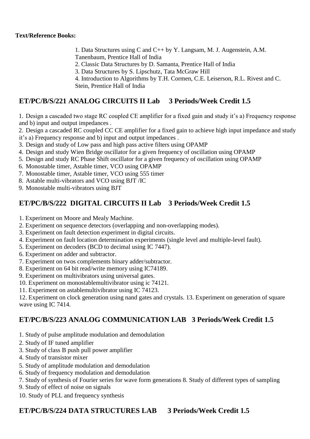- 1. Data Structures using C and C++ by Y. Langsam, M. J. Augenstein, A.M. Tanenbaum, Prentice Hall of India
- 2. Classic Data Structures by D. Samanta, Prentice Hall of India
- 3. Data Structures by S. Lipschutz, Tata McGraw Hill
- 4. Introduction to Algorithms by T.H. Cormen, C.E. Leiserson, R.L. Rivest and C. Stein, Prentice Hall of India

# **ET/PC/B/S/221 ANALOG CIRCUITS II Lab 3 Periods/Week Credit 1.5**

1. Design a cascaded two stage RC coupled CE amplifier for a fixed gain and study it's a) Frequency response and b) input and output impedances .

2. Design a cascaded RC coupled CC CE amplifier for a fixed gain to achieve high input impedance and study it's a) Frequency response and b) input and output impedances .

- 3. Design and study of Low pass and high pass active filters using OPAMP
- 4. Design and study Wien Bridge oscillator for a given frequency of oscillation using OPAMP
- 5. Design and study RC Phase Shift oscillator for a given frequency of oscillation using OPAMP
- 6. Monostable timer, Astable timer, VCO using OPAMP
- 7. Monostable timer, Astable timer, VCO using 555 timer
- 8. Astable multi-vibrators and VCO using BJT /IC
- 9. Monostable multi-vibrators using BJT

# **ET/PC/B/S/222 DIGITAL CIRCUITS II Lab 3 Periods/Week Credit 1.5**

- 1. Experiment on Moore and Mealy Machine.
- 2. Experiment on sequence detectors (overlapping and non-overlapping modes).
- 3. Experiment on fault detection experiment in digital circuits.
- 4. Experiment on fault location determination experiments (single level and multiple-level fault).
- 5. Experiment on decoders (BCD to decimal using IC 7447).
- 6. Experiment on adder and subtractor.
- 7. Experiment on twos complements binary adder/subtractor.
- 8. Experiment on 64 bit read/write memory using IC74189.
- 9. Experiment on multivibrators using universal gates.
- 10. Experiment on monostablemultivibrator using ic 74121.
- 11. Experiment on astablemultivibrator using IC 74123.

12. Experiment on clock generation using nand gates and crystals. 13. Experiment on generation of square wave using IC 7414.

# **ET/PC/B/S/223 ANALOG COMMUNICATION LAB 3 Periods/Week Credit 1.5**

- 1. Study of pulse amplitude modulation and demodulation
- 2. Study of IF tuned amplifier
- 3. Study of class B push pull power amplifier
- 4. Study of transistor mixer
- 5. Study of amplitude modulation and demodulation
- 6. Study of frequency modulation and demodulation
- 7. Study of synthesis of Fourier series for wave form generations 8. Study of different types of sampling
- 9. Study of effect of noise on signals
- 10. Study of PLL and frequency synthesis

# **ET/PC/B/S/224 DATA STRUCTURES LAB 3 Periods/Week Credit 1.5**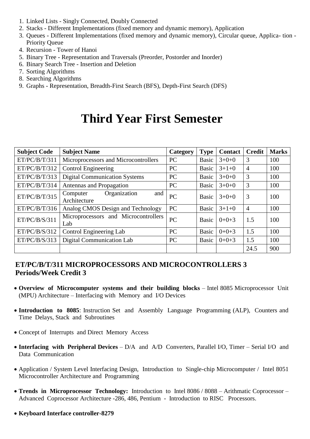- 1. Linked Lists Singly Connected, Doubly Connected
- 2. Stacks Different Implementations (fixed memory and dynamic memory), Application
- 3. Queues Different Implementations (fixed memory and dynamic memory), Circular queue, Applica- tion Priority Queue
- 4. Recursion Tower of Hanoi
- 5. Binary Tree Representation and Traversals (Preorder, Postorder and Inorder)
- 6. Binary Search Tree Insertion and Deletion
- 7. Sorting Algorithms
- 8. Searching Algorithms
- 9. Graphs Representation, Breadth-First Search (BFS), Depth-First Search (DFS)

# **Third Year First Semester**

| <b>Subject Code</b> | <b>Subject Name</b>                             | Category  | <b>Type</b>  | <b>Contact</b> | <b>Credit</b>  | <b>Marks</b> |
|---------------------|-------------------------------------------------|-----------|--------------|----------------|----------------|--------------|
| ET/PC/B/T/311       | Microprocessors and Microcontrollers            | <b>PC</b> | <b>Basic</b> | $3+0+0$        | 3              | 100          |
| ET/PC/B/T/312       | <b>Control Engineering</b>                      | <b>PC</b> | Basic        | $3+1+0$        | 4              | 100          |
| ET/PC/B/T/313       | <b>Digital Communication Systems</b>            | PC        | Basic        | $3+0+0$        | 3              | 100          |
| ET/PC/B/T/314       | Antennas and Propagation                        | PC        | Basic        | $3+0+0$        | 3              | 100          |
| ET/PC/B/T/315       | Organization<br>and<br>Computer<br>Architecture | PC        | <b>Basic</b> | $3+0+0$        | 3              | 100          |
| ET/PC/B/T/316       | Analog CMOS Design and Technology               | PC        | <b>Basic</b> | $3+1+0$        | $\overline{4}$ | 100          |
| ET/PC/B/S/311       | Microprocessors and Microcontrollers<br>Lab     | PC        | <b>Basic</b> | $0+0+3$        | 1.5            | 100          |
| ET/PC/B/S/312       | Control Engineering Lab                         | <b>PC</b> | <b>Basic</b> | $0+0+3$        | 1.5            | 100          |
| ET/PC/B/S/313       | <b>Digital Communication Lab</b>                | PC        | Basic        | $0+0+3$        | 1.5            | 100          |
|                     |                                                 |           |              |                | 24.5           | 900          |

# **ET/PC/B/T/311 MICROPROCESSORS AND MICROCONTROLLERS 3 Periods/Week Credit 3**

- **Overview of Microcomputer systems and their building blocks**  Intel 8085 Microprocessor Unit (MPU) Architecture – Interfacing with Memory and I/O Devices
- **Introduction to 8085**: Instruction Set and Assembly Language Programming (ALP), Counters and Time Delays, Stack and Subroutines
- Concept of Interrupts and Direct Memory Access
- **Interfacing with Peripheral Devices** D/A and A/D Converters, Parallel I/O, Timer Serial I/O and Data Communication
- Application / System Level Interfacing Design, Introduction to Single-chip Microcomputer / Intel 8051 Microcontroller Architecture and Programming
- **Trends in Microprocessor Technology:** Introduction to Intel 8086 / 8088 Arithmatic Coprocessor Advanced Coprocessor Architecture -286, 486, Pentium - Introduction to RISC Processors.
- **Keyboard Interface controller-8279**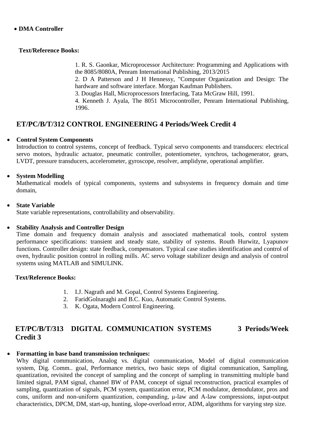# **Text/Reference Books:**

1. R. S. Gaonkar, Microprocessor Architecture: Programming and Applications with the 8085/8080A, Penram International Publishing, 2013/2015

2. D A Patterson and J H Hennessy, "Computer Organization and Design: The hardware and software interface. Morgan Kaufman Publishers.

3. Douglas Hall, Microprocessors Interfacing, Tata McGraw Hill, 1991.

4. Kenneth J. Ayala, The 8051 Microcontroller, Penram International Publishing, 1996.

# **ET/PC/B/T/312 CONTROL ENGINEERING 4 Periods/Week Credit 4**

# **Control System Components**

Introduction to control systems, concept of feedback. Typical servo components and transducers: electrical servo motors, hydraulic actuator, pneumatic controller, potentiometer, synchros, tachogenerator, gears, LVDT, pressure transducers, accelerometer, gyroscope, resolver, amplidyne, operational amplifier.

# **System Modelling**

Mathematical models of typical components, systems and subsystems in frequency domain and time domain,

# **State Variable**

State variable representations, controllability and observability.

# **Stability Analysis and Controller Design**

Time domain and frequency domain analysis and associated mathematical tools, control system performance specifications: transient and steady state, stability of systems. Routh Hurwitz, Lyapunov functions. Controller design: state feedback, compensators. Typical case studies identification and control of oven, hydraulic position control in rolling mills. AC servo voltage stabilizer design and analysis of control systems using MATLAB and SIMULINK.

# **Text/Reference Books:**

- 1. I.J. Nagrath and M. Gopal, Control Systems Engineering.
- 2. FaridGolnaraghi and B.C. Kuo, Automatic Control Systems.
- 3. K. Ogata, Modern Control Engineering.

# **ET/PC/B/T/313 DIGITAL COMMUNICATION SYSTEMS 3 Periods/Week Credit 3**

# **Formatting in base band transmission techniques:**

Why digital communication, Analog vs. digital communication, Model of digital communication system, Dig. Comm.. goal, Performance metrics, two basic steps of digital communication, Sampling, quantization, revisited the concept of sampling and the concept of sampling in transmitting multiple band limited signal, PAM signal, channel BW of PAM, concept of signal reconstruction, practical examples of sampling, quantization of signals, PCM system, quantization error, PCM modulator, demodulator, pros and cons, uniform and non-uniform quantization, companding, μ-law and A-law compressions, input-output characteristics, DPCM, DM, start-up, hunting, slope-overload error, ADM, algorithms for varying step size.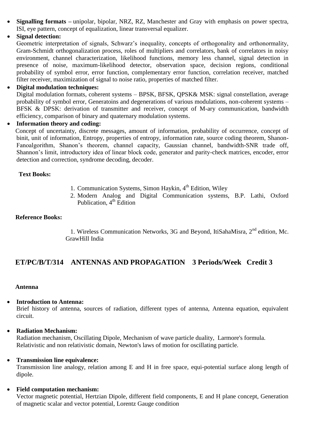- **Signalling formats –** unipolar, bipolar, NRZ, RZ, Manchester and Gray with emphasis on power spectra, ISI, eye pattern, concept of equalization, linear transversal equalizer.
- **Signal detection:**

Geometric interpretation of signals, Schwarz's inequality, concepts of orthogonality and orthonormality, Gram-Schmidt orthogonalization process, roles of multipliers and correlators, bank of correlators in noisy environment, channel characterization, likelihood functions, memory less channel, signal detection in presence of noise, maximum-likelihood detector, observation space, decision regions, conditional probability of symbol error, error function, complementary error function, correlation receiver, matched filter receiver, maximization of signal to noise ratio, properties of matched filter.

### **Digital modulation techniques:**

Digital modulation formats, coherent systems – BPSK, BFSK, QPSK& MSK: signal constellation, average probability of symbol error, Generatoins and degenerations of various modulations, non-coherent systems – BFSK & DPSK: derivation of transmitter and receiver, concept of M-ary communication, bandwidth efficiency, comparison of binary and quaternary modulation systems.

#### **Information theory and coding:**

Concept of uncertainty, discrete messages, amount of information, probability of occurrence, concept of binit, unit of information, Entropy, properties of entropy, information rate, source coding theorem, Shanon-Fanoalgorithm, Shanon's theorem, channel capacity, Gaussian channel, bandwidth-SNR trade off, Shannon's limit, introductory idea of linear block code, generator and parity-check matrices, encoder, error detection and correction, syndrome decoding, decoder.

### **Text Books:**

- 1. Communication Systems, Simon Haykin,  $4<sup>th</sup>$  Edition, Wiley
- 2. Modern Analog and Digital Communication systems, B.P. Lathi, Oxford Publication,  $4<sup>th</sup>$  Edition

#### **Reference Books:**

1. Wireless Communication Networks, 3G and Beyond, ItiSahaMisra, 2<sup>nd</sup> edition, Mc. GrawHill India

# **ET/PC/B/T/314 ANTENNAS AND PROPAGATION 3 Periods/Week Credit 3**

#### **Antenna**

#### **Introduction to Antenna:**

Brief history of antenna, sources of radiation, different types of antenna, Antenna equation, equivalent circuit.

#### **Radiation Mechanism:**

Radiation mechanism, Oscillating Dipole, Mechanism of wave particle duality, Larmore's formula. Relativistic and non relativistic domain, Newton's laws of motion for oscillating particle.

#### **Transmission line equivalence:**

Transmission line analogy, relation among E and H in free space, equi-potential surface along length of dipole.

# **Field computation mechanism:**

Vector magnetic potential, Hertzian Dipole, different field components, E and H plane concept, Generation of magnetic scalar and vector potential, Lorentz Gauge condition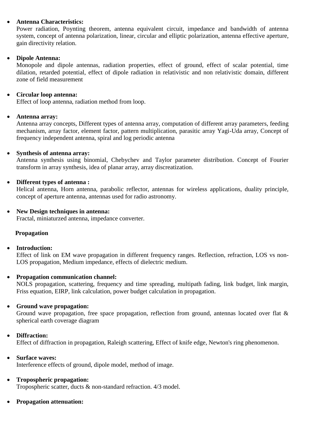# **Antenna Characteristics:**

Power radiation, Poynting theorem, antenna equivalent circuit, impedance and bandwidth of antenna system, concept of antenna polarization, linear, circular and elliptic polarization, antenna effective aperture, gain directivity relation.

### **Dipole Antenna:**

Monopole and dipole antennas, radiation properties, effect of ground, effect of scalar potential, time dilation, retarded potential, effect of dipole radiation in relativistic and non relativistic domain, different zone of field measurement

### **Circular loop antenna:**

Effect of loop antenna, radiation method from loop.

### **Antenna array:**

Antenna array concepts, Different types of antenna array, computation of different array parameters, feeding mechanism, array factor, element factor, pattern multiplication, parasitic array Yagi-Uda array, Concept of frequency independent antenna, spiral and log periodic antenna

### **Synthesis of antenna array:**

Antenna synthesis using binomial, Chebychev and Taylor parameter distribution. Concept of Fourier transform in array synthesis, idea of planar array, array discreatization.

### **Different types of antenna :**

Helical antenna, Horn antenna, parabolic reflector, antennas for wireless applications, duality principle, concept of aperture antenna, antennas used for radio astronomy.

### **New Design techniques in antenna:**

Fractal, miniaturzed antenna, impedance converter.

#### **Propagation**

#### **Introduction:**

Effect of link on EM wave propagation in different frequency ranges. Reflection, refraction, LOS vs non-LOS propagation, Medium impedance, effects of dielectric medium.

#### **Propagation communication channel:**

NOLS propagation, scattering, frequency and time spreading, multipath fading, link budget, link margin, Friss equation, EIRP, link calculation, power budget calculation in propagation.

#### **Ground wave propagation:**

Ground wave propagation, free space propagation, reflection from ground, antennas located over flat & spherical earth coverage diagram

# **Diffraction:**

Effect of diffraction in propagation, Raleigh scattering, Effect of knife edge, Newton's ring phenomenon.

### **Surface waves:**

Interference effects of ground, dipole model, method of image.

# **Tropospheric propagation:**

Tropospheric scatter, ducts & non-standard refraction. 4/3 model.

#### **Propagation attenuation:**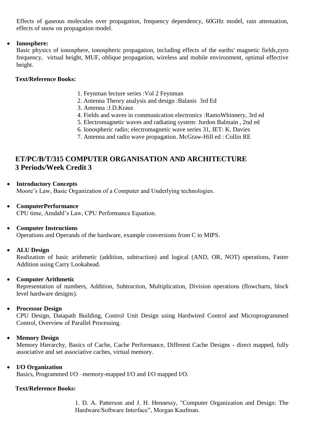Effects of gaseous molecules over propagation, frequency dependency, 60GHz model, rain attenuation, effects of snow on propagation model.

### **Ionosphere:**

Basic physics of ionosphere, ionospheric propagation, including effects of the earths' magnetic fields,zyro frequency, virtual height, MUF, oblique propagation, wireless and mobile environment, optimal effective height.

### **Text/Reference Books:**

- 1. Feynman lecture series :Vol 2 Feynman
- 2. Antenna Theory analysis and design :Balanis 3rd Ed
- 3. Antenna :J.D.Kraus
- 4. Fields and waves in communication electronics :RamoWhinnery, 3rd ed
- 5. Electromagnetic waves and radiating system: Jordon Balmain , 2nd ed
- 6. Ionospheric radio; electromagnetic wave series 31, IET: K. Davies
- 7. Antenna and radio wave propagation. McGraw-Hill ed : Collin RE

# **ET/PC/B/T/315 COMPUTER ORGANISATION AND ARCHITECTURE 3 Periods/Week Credit 3**

- **Introductory Concepts** Moore's Law, Basic Organization of a Computer and Underlying technologies.
- **ComputerPerformance** CPU time, Amdahl's Law, CPU Performance Equation.
- **Computer Instructions**

Operations and Operands of the hardware, example conversions from C to MIPS.

**ALU Design**

Realization of basic arithmetic (addition, subtraction) and logical (AND, OR, NOT) operations, Faster Addition using Carry Lookahead.

# **Computer Arithmetic**

Representation of numbers, Addition, Subtraction, Multiplication, Division operations (flowcharts, block level hardware designs).

#### **Processor Design**

CPU Design, Datapath Building, Control Unit Design using Hardwired Control and Microprogrammed Control, Overview of Parallel Processing.

# **Memory Design**

Memory Hierarchy, Basics of Cache, Cache Performance, Different Cache Designs - direct mapped, fully associative and set associative caches, virtual memory.

### **I/O Organization**

Basics, Programmed I/O –memory-mapped I/O and I/O mapped I/O.

#### **Text/Reference Books:**

1. D. A. Patterson and J. H. Hennessy, "Computer Organization and Design: The Hardware/Software Interface", Morgan Kaufman.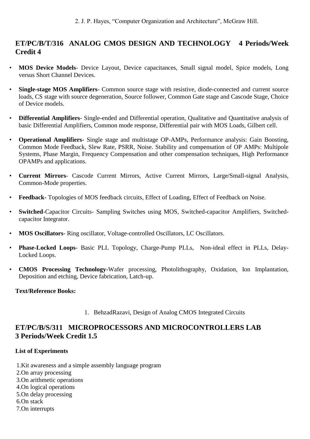# **ET/PC/B/T/316 ANALOG CMOS DESIGN AND TECHNOLOGY 4 Periods/Week Credit 4**

- **MOS Device Models** Device Layout, Device capacitances, Small signal model, Spice models, Long versus Short Channel Devices.
- **Single-stage MOS Amplifiers** Common source stage with resistive, diode-connected and current source loads, CS stage with source degeneration, Source follower, Common Gate stage and Cascode Stage, Choice of Device models.
- **Differential Amplifiers** Single-ended and Differential operation, Qualitative and Quantitative analysis of basic Differential Amplifiers, Common mode response, Differential pair with MOS Loads, Gilbert cell.
- **Operational Amplifiers-** Single stage and multistage OP-AMPs, Performance analysis: Gain Boosting, Common Mode Feedback, Slew Rate, PSRR, Noise. Stability and compensation of OP AMPs: Multipole Systems, Phase Margin, Frequency Compensation and other compensation techniques, High Performance OPAMPs and applications.
- **Current Mirrors** Cascode Current Mirrors, Active Current Mirrors, Large/Small-signal Analysis, Common-Mode properties.
- **Feedback-** Topologies of MOS feedback circuits, Effect of Loading, Effect of Feedback on Noise.
- **Switched**-Capacitor Circuits- Sampling Switches using MOS, Switched-capacitor Amplifiers, Switchedcapacitor Integrator.
- **MOS Oscillators** Ring oscillator, Voltage-controlled Oscillators, LC Oscillators.
- **Phase-Locked Loops** Basic PLL Topology, Charge-Pump PLLs, Non-ideal effect in PLLs, Delay-Locked Loops.
- **CMOS Processing Technology**-Wafer processing, Photolithography, Oxidation, Ion Implantation, Deposition and etching, Device fabrication, Latch-up.

#### **Text/Reference Books:**

1. [BehzadRazavi,](https://www.google.com/search?sa=X&q=Behzad+Razavi&stick=H4sIAAAAAAAAAOPgE-LSz9U3MDXMKK4yVgKzTaoqS8qrtGSyk630k_Lzs_XLizJLSlLz4svzi7KtEktLMvKLFrHyOqVmVCWmKAQlViWWZQIAxEFs0kgAAAA&ved=2ahUKEwiZ9ebonOTjAhV0muYKHSblBkMQmxMoATATegQIDxAe) Design of Analog CMOS Integrated Circuits

# **ET/PC/B/S/311 MICROPROCESSORS AND MICROCONTROLLERS LAB 3 Periods/Week Credit 1.5**

# **List of Experiments**

1.Kit awareness and a simple assembly language program 2.On array processing 3.On arithmetic operations 4.On logical operations 5.On delay processing 6.On stack 7.On interrupts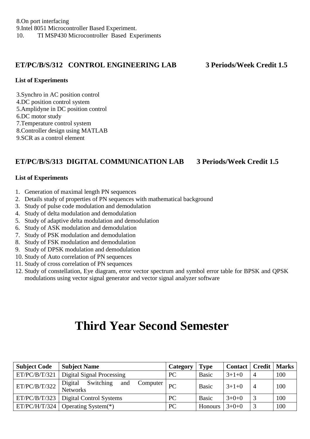# **ET/PC/B/S/312 CONTROL ENGINEERING LAB 3 Periods/Week Credit 1.5**

### **List of Experiments**

3.Synchro in AC position control 4.DC position control system 5.Amplidyne in DC position control 6.DC motor study 7.Temperature control system 8.Controller design using MATLAB 9.SCR as a control element

# **ET/PC/B/S/313 DIGITAL COMMUNICATION LAB 3 Periods/Week Credit 1.5**

# **List of Experiments**

- 1. Generation of maximal length PN sequences
- 2. Details study of properties of PN sequences with mathematical background
- 3. Study of pulse code modulation and demodulation
- 4. Study of delta modulation and demodulation
- 5. Study of adaptive delta modulation and demodulation
- 6. Study of ASK modulation and demodulation
- 7. Study of PSK modulation and demodulation
- 8. Study of FSK modulation and demodulation
- 9. Study of DPSK modulation and demodulation
- 10. Study of Auto correlation of PN sequences
- 11. Study of cross correlation of PN sequences
- 12. Study of constellation, Eye diagram, error vector spectrum and symbol error table for BPSK and QPSK modulations using vector signal generator and vector signal analyzer software

# **Third Year Second Semester**

| <b>Subject Code</b> | <b>Subject Name</b>                                 | Category | <b>Type</b>  | $\text{Context}$ | <b>Credit</b>  | <b>Marks</b> |
|---------------------|-----------------------------------------------------|----------|--------------|------------------|----------------|--------------|
| ET/PC/B/T/321       | Digital Signal Processing                           | PC       | <b>Basic</b> | $3+1+0$          | $\overline{4}$ | 100          |
| ET/PC/B/T/322       | Digital<br>Switching<br>and<br>Computer<br>Networks | PC       | <b>Basic</b> | $3+1+0$          | $\overline{4}$ | 100          |
| ET/PC/B/T/323       | Digital Control Systems                             | PC       | Basic        | $3+0+0$          | 3              | 100          |
| ET/PC/H/T/324       | Operating System(*)                                 | PC       | Honours      | $3+0+0$          | 3              | 100          |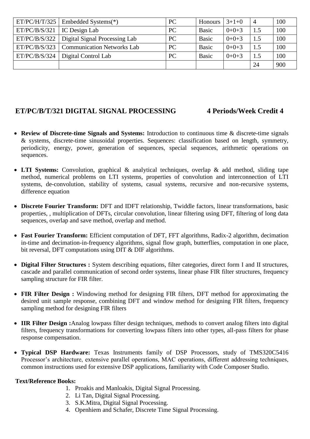| ET/PC/H/T/325 | Embedded Systems(*)                        | PC | Honours      | $3+1+0$ | $\overline{4}$ | 100 |
|---------------|--------------------------------------------|----|--------------|---------|----------------|-----|
| ET/PC/B/S/321 | <b>IC</b> Design Lab                       | PC | Basic        | $0+0+3$ | 1.5            | 100 |
| ET/PC/B/S/322 | Digital Signal Processing Lab              | PC | <b>Basic</b> | $0+0+3$ | 1.5            | 100 |
|               | $ET/PC/B/S/323$ Communication Networks Lab | PC | <b>Basic</b> | $0+0+3$ | 1.5            | 100 |
| ET/PC/B/S/324 | Digital Control Lab                        | PC | <b>Basic</b> | $0+0+3$ | 1.5            | 100 |
|               |                                            |    |              |         | 24             | 900 |

# **ET/PC/B/T/321 DIGITAL SIGNAL PROCESSING 4 Periods/Week Credit 4**

- **Review of Discrete-time Signals and Systems:** Introduction to continuous time & discrete-time signals & systems, discrete-time sinusoidal properties. Sequences: classification based on length, symmetry, periodicity, energy, power, generation of sequences, special sequences, arithmetic operations on sequences.
- **LTI Systems:** Convolution, graphical & analytical techniques, overlap & add method, sliding tape method, numerical problems on LTI systems, properties of convolution and interconnection of LTI systems, de-convolution, stability of systems, casual systems, recursive and non-recursive systems, difference equation
- **Discrete Fourier Transform:** DFT and IDFT relationship, Twiddle factors, linear transformations, basic properties, , multiplication of DFTs, circular convolution, linear filtering using DFT, filtering of long data sequences, overlap and save method, overlap and method.
- **Fast Fourier Transform:** Efficient computation of DFT, FFT algorithms, Radix-2 algorithm, decimation in-time and decimation-in-frequency algorithms, signal flow graph, butterflies, computation in one place, bit reversal, DFT computations using DIT & DIF algorithms.
- **Digital Filter Structures :** System describing equations, filter categories, direct form I and II structures, cascade and parallel communication of second order systems, linear phase FIR filter structures, frequency sampling structure for FIR filter.
- **FIR Filter Design :** Windowing method for designing FIR filters, DFT method for approximating the desired unit sample response, combining DFT and window method for designing FIR filters, frequency sampling method for designing FIR filters
- **IIR Filter Design :**Analog lowpass filter design techniques, methods to convert analog filters into digital filters, frequency transformations for converting lowpass filters into other types, all-pass filters for phase response compensation.
- **Typical DSP Hardware:** Texas Instruments family of DSP Processors, study of TMS320C5416 Processor's architecture, extensive parallel operations, MAC operations, different addressing techniques, common instructions used for extensive DSP applications, familiarity with Code Composer Studio.

# **Text/Reference Books:**

- 1. Proakis and Manloakis, Digital Signal Processing.
- 2. Li Tan, Digital Signal Processing.
- 3. S.K.Mitra, Digital Signal Processing.
- 4. Openhiem and Schafer, Discrete Time Signal Processing.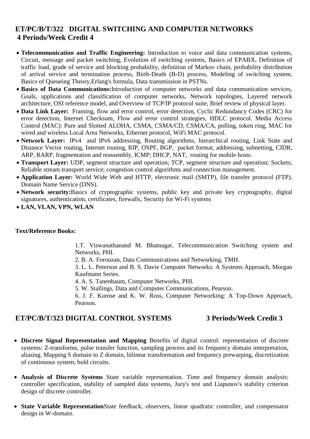# **ET/PC/B/T/322 DIGITAL SWITCHING AND COMPUTER NETWORKS 4 Periods/Week Credit 4**

- **Telecommunication and Traffic Engineering:** Introduction to voice and data communication systems, Circuit, message and packet switching, Evolution of switching systems, Basics of EPABX, Definition of traffic load, grade of service and blocking probability, definition of Markov chain, probability distribution of arrival service and termination process, Birth-Death (B-D) process, Modeling of switching system, Basics of Queueing Theory,Erlang's formula, Data transmission in PSTNs.
- **Basics of Data Communications:**Introduction of computer networks and data communication services, Goals, applications and classification of computer networks, Network topologies, Layered network architecture, OSI reference model, and Overview of TCP/IP protocol suite, Brief review of physical layer.
- **Data Link Layer:** Framing, flow and error control, error detection, Cyclic Redundancy Codes (CRC) for error detection, Internet Checksum, Flow and error control strategies, HDLC protocol. Media Access Control (MAC): Pure and Slotted ALOHA, CSMA, CSMA/CD, CSMA/CA, polling, token ring, MAC for wired and wireless Local Area Networks, Ethernet protocol, WiFi MAC protocol.
- **Network Layer:** IPv4 and IPv6 addressing, Routing algorithms, hierarchical routing, Link State and Distance Vector routing, Internet routing*,* RIP, OSPF, BGP, packet format, addressing, subnetting, CIDR, ARP, RARP, fragmentation and reassembly, ICMP; DHCP, NAT, routing for mobile hosts.
- **Transport Layer:** UDP, segment structure and operation; TCP, segment structure and operation; Sockets; Reliable stream transport service; congestion control algorithms and connection management.
- **Application Layer:** World Wide Web and HTTP, electronic mail (SMTP), file transfer protocol (FTP), Domain Name Service (DNS).
- **Network security:**Basics of cryptographic systems, public key and private key cryptography, digital signatures, authentication, certificates, firewalls, Security for Wi-Fi systems
- **LAN, VLAN, VPN, WLAN**

#### **Text/Reference Books:**

1.T. Viswanathanand M. Bhatnagar, Telecommunication Switching system and Networks, PHI.

2. B. A. Forouzan, Data Communications and Networking, TMH.

3. L. L. Peterson and B. S. Davie Computer Networks: A Systems Approach, Morgan Kaufmann Series.

4. A. S. Tanenbaum, Computer Networks, PHI.

5. W. Stallings, Data and Computer Communications, Pearson.

6. J. F. Kurose and K. W. Ross, Computer Networking: A Top-Down Approach, Pearson.

# **ET/PC/B/T/323 DIGITAL CONTROL SYSTEMS 3 Periods/Week Credit 3**

- **Discrete Signal Representation and Mapping** Benefits of digital control: representation of discrete systems: Z-transforms, pulse transfer function, sampling process and its frequency domain interpretation, aliasing. Mapping S domain to Z domain, bilinear transformation and frequency prewarping, discretization of continuous system, hold circuits.
- **Analysis of Discrete Systems** State variable representation. Time and frequency domain analysis: controller specification, stability of sampled data systems, Jury's test and Liapunov's stability criterion design of discrete controller.
- **State Variable Representation**State feedback, observers, linear quadratic controller, and compensator design in W-domain.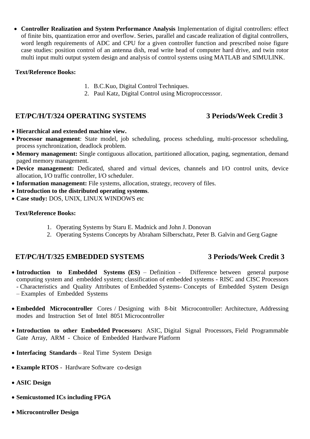**Controller Realization and System Performance Analysis** Implementation of digital controllers: effect of finite bits, quantization error and overflow. Series, parallel and cascade realization of digital controllers, word length requirements of ADC and CPU for a given controller function and prescribed noise figure case studies: position control of an antenna dish, read write head of computer hard drive, and twin rotor multi input multi output system design and analysis of control systems using MATLAB and SIMULINK.

# **Text/Reference Books:**

- 1. B.C.Kuo, Digital Control Techniques.
- 2. Paul Katz, Digital Control using Microproccesssor.

# **ET/PC/H/T/324 OPERATING SYSTEMS 3 Periods/Week Credit 3**

- **Hierarchical and extended machine view.**
- **Processor management**: State model, job scheduling, process scheduling, multi-processor scheduling, process synchronization, deadlock problem.
- **Memory management:** Single contiguous allocation, partitioned allocation, paging, segmentation, demand paged memory management.
- **Device management:** Dedicated, shared and virtual devices, channels and I/O control units, device allocation, I/O traffic controller, I/O scheduler.
- **Information management:** File systems, allocation, strategy, recovery of files.
- **Introduction to the distributed operating systems**.
- **Case study:** DOS, UNIX, LINUX WINDOWS etc

#### **Text/Reference Books:**

- 1. Operating Systems by Staru E. Madnick and John J. Donovan
- 2. Operating Systems Concepts by Abraham Silberschatz, Peter B. Galvin and Gerg Gagne

# **ET/PC/H/T/325 EMBEDDED SYSTEMS 3 Periods/Week Credit 3**

- **Introduction to Embedded Systems (ES)** Definition Difference between general purpose computing system and embedded system; classification of embedded systems - RISC and CISC Processors - Characteristics and Quality Attributes of Embedded Systems- Concepts of Embedded System Design – Examples of Embedded Systems
- **Embedded Microcontroller** Cores / Designing with 8-bit Microcontroller: Architecture, Addressing modes and Instruction Set of Intel 8051 Microcontroller
- **Introduction to other Embedded Processors:** ASIC, Digital Signal Processors, Field Programmable Gate Array, ARM - Choice of Embedded Hardware Platform
- **Interfacing Standards** Real Time System Design
- **Example RTOS** Hardware Software co-design
- **ASIC Design**
- **Semicustomed ICs including FPGA**
- **Microcontroller Design**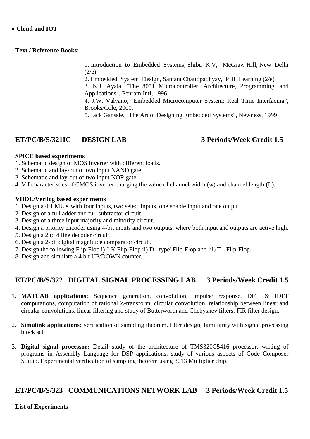### **Cloud and IOT**

#### **Text / Reference Books:**

1. Introduction to Embedded Systems, Shibu K V, McGraw Hill, New Delhi  $(2/e)$ 

2. Embedded System Design, SantanuChattopadhyay, PHI Learning (2/e)

3. K.J. Ayala, "The 8051 Microcontroller: Architecture, Programming, and Applications", Penram Intl, 1996.

4. J.W. Valvano, "Embedded Microcomputer System: Real Time Interfacing", Brooks/Cole, 2000.

5. Jack Ganssle, "The Art of Designing Embedded Systems", Newness, 1999

# **ET/PC/B/S/321IC DESIGN LAB 3 Periods/Week Credit 1.5**

### **SPICE based experiments**

- 1. Schematic design of MOS inverter with different loads.
- 2. Schematic and lay-out of two input NAND gate.
- 3. Schematic and lay-out of two input NOR gate.
- 4. V.I characteristics of CMOS inverter charging the value of channel width (w) and channel length (L).

### **VHDL/Verilog based experiments**

- 1. Design a 4:1 MUX with four inputs, two select inputs, one enable input and one output
- 2. Design of a full adder and full subtractor circuit.
- 3. Design of a three input majority and minority circuit.
- 4. Design a priority encoder using 4-bit inputs and two outputs, where both input and outputs are active high.
- 5. Design a 2 to 4 line decoder circuit.
- 6. Design a 2-bit digital magnitude comparator circuit.
- 7. Design the following Flip-Flop i) J-K Flip-Flop ii) D type' Flip-Flop and iii) T Flip-Flop.
- 8. Design and simulate a 4 bit UP/DOWN counter.

# **ET/PC/B/S/322 DIGITAL SIGNAL PROCESSING LAB 3 Periods/Week Credit 1.5**

- 1. **MATLAB applications:** Sequence generation, convolution, impulse response, DFT & IDFT computations, computation of rational Z-transform, circular convolution, relationship between linear and circular convolutions, linear filtering and study of Butterworth and Chebyshev filters, FIR filter design.
- 2. **Simulink applications:** verification of sampling theorem, filter design, familiarity with signal processing block set
- 3. **Digital signal processor:** Detail study of the architecture of TMS320C5416 processor, writing of programs in Assembly Language for DSP applications, study of various aspects of Code Composer Studio. Experimental verification of sampling theorem using 8013 Multiplier chip.

# **ET/PC/B/S/323 COMMUNICATIONS NETWORK LAB 3 Periods/Week Credit 1.5**

# **List of Experiments**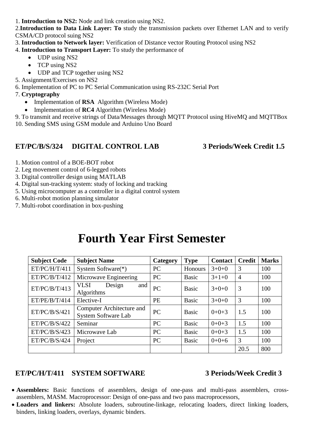1. **Introduction to NS2:** Node and link creation using NS2.

2.**Introduction to Data Link Layer: To** study the transmission packets over Ethernet LAN and to verify CSMA/CD protocol suing NS2

3. **Introduction to Network layer:** Verification of Distance vector Routing Protocol using NS2

4. **Introduction to Transport Layer:** To study the performance of

- UDP using NS2
- TCP using NS2
- UDP and TCP together using NS2
- 5. Assignment/Exercises on NS2

6. Implementation of PC to PC Serial Communication using RS-232C Serial Port

- 7. **Cryptography**
	- Implementation of **RSA** Algorithm (Wireless Mode)
	- Implementation of **RC4** Algorithm (Wireless Mode)
- 9. To transmit and receive strings of Data/Messages through MQTT Protocol using HiveMQ and MQTTBox 10. Sending SMS using GSM module and Arduino Uno Board

# **ET/PC/B/S/324 DIGITAL CONTROL LAB 3 Periods/Week Credit 1.5**

- 1. Motion control of a BOE-BOT robot
- 2. Leg movement control of 6-legged robots
- 3. Digital controller design using MATLAB
- 4. Digital sun-tracking system: study of locking and tracking
- 5. Using microcomputer as a controller in a digital control system
- 6. Multi-robot motion planning simulator
- 7. Multi-robot coordination in box-pushing

# **Fourth Year First Semester**

| <b>Subject Code</b> | <b>Subject Name</b>                                     | Category  | <b>Type</b>  | <b>Contact</b> | <b>Credit</b>  | <b>Marks</b> |
|---------------------|---------------------------------------------------------|-----------|--------------|----------------|----------------|--------------|
| ET/PC/H/T/411       | System Software <sup>(*)</sup>                          | PC        | Honours      | $3+0+0$        | 3              | 100          |
| ET/PC/B/T/412       | Microwave Engineering                                   | PC        | <b>Basic</b> | $3+1+0$        | $\overline{4}$ | 100          |
| ET/PC/B/T/413       | <b>VLSI</b><br>Design<br>and<br>Algorithms              | PC        | <b>Basic</b> | $3+0+0$        | 3              | 100          |
| ET/PE/B/T/414       | Elective-I                                              | <b>PE</b> | <b>Basic</b> | $3+0+0$        | 3              | 100          |
| ET/PC/B/S/421       | Computer Architecture and<br><b>System Software Lab</b> | PC        | <b>Basic</b> | $0+0+3$        | 1.5            | 100          |
| ET/PC/B/S/422       | Seminar                                                 | PC        | <b>Basic</b> | $0+0+3$        | 1.5            | 100          |
| ET/PC/B/S/423       | Microwave Lab                                           | PC        | <b>Basic</b> | $0+0+3$        | 1.5            | 100          |
| ET/PC/B/S/424       | Project                                                 | <b>PC</b> | <b>Basic</b> | $0+0+6$        | 3              | 100          |
|                     |                                                         |           |              |                | 20.5           | 800          |

# **ET/PC/H/T/411 SYSTEM SOFTWARE 3 Periods/Week Credit 3**

- **Assemblers:** Basic functions of assemblers, design of one-pass and multi-pass assemblers, crossassemblers, MASM. Macroprocessor: Design of one-pass and two pass macroprocessors,
- **Loaders and linkers:** Absolute loaders, subroutine-linkage, relocating loaders, direct linking loaders, binders, linking loaders, overlays, dynamic binders.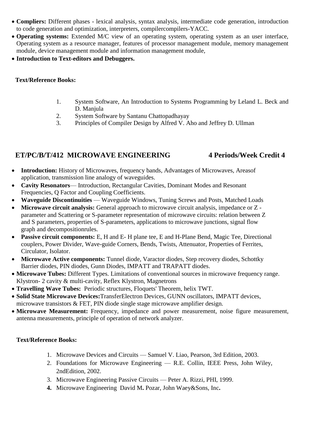- **Compliers:** Different phases lexical analysis, syntax analysis, intermediate code generation, introduction to code generation and optimization, interpreters, compilercompilers-YACC.
- **Operating systems:** Extended M/C view of an operating system, operating system as an user interface, Operating system as a resource manager, features of processor management module, memory management module, device management module and information management module,
- **Introduction to Text-editors and Debuggers.**

### **Text/Reference Books:**

- 1. System Software, An Introduction to Systems Programming by Leland L. Beck and D. Manjula
- 2. System Software by Santanu Chattopadhayay
- 3. Principles of Compiler Design by Alfred V. Aho and Jeffrey D. Ullman

# **ET/PC/B/T/412 MICROWAVE ENGINEERING 4 Periods/Week Credit 4**

- **Introduction:** History of Microwaves, frequency bands, Advantages of Microwaves, Areasof application, transmission line analogy of waveguides.
- **Cavity Resonators** Introduction, Rectangular Cavities, Dominant Modes and Resonant Frequencies, Q Factor and Coupling Coefficients.
- **Waveguide Discontinuities** Waveguide Windows, Tuning Screws and Posts, Matched Loads
- **Microwave circuit analysis:** General approach to microwave circuit analysis, impedance or Z parameter and Scattering or S-parameter representation of microwave circuits: relation between Z and S parameters, properties of S-parameters, applications to microwave junctions, signal flow graph and decompositionrules.
- **Passive circuit components:** E, H and E- H plane tee, E and H-Plane Bend, Magic Tee, Directional couplers, Power Divider, Wave-guide Corners, Bends, Twists, Attenuator, Properties of Ferrites, Circulator, Isolator.
- **Microwave Active components:** Tunnel diode, Varactor diodes, Step recovery diodes, Schottky Barrier diodes, PIN diodes, Gunn Diodes, IMPATT and TRAPATT diodes.
- **Microwave Tubes:** Different Types. Limitations of conventional sources in microwave frequency range. Klystron- 2 cavity & multi-cavity, Reflex Klystron, Magnetrons
- **Travelling Wave Tubes:** Periodic structures, Floquets' Theorem, helix TWT.
- **Solid State Microwave Devices:**TransferElectron Devices, GUNN oscillators, IMPATT devices, microwave transistors & FET, PIN diode single stage microwave amplifier design.
- **Microwave Measurement:** Frequency, impedance and power measurement, noise figure measurement, antenna measurements, principle of operation of network analyzer.

# **Text/Reference Books:**

- 1. Microwave Devices and Circuits Samuel V. Liao, Pearson, 3rd Edition, 2003.
- 2. Foundations for Microwave Engineering R.E. Collin, IEEE Press, John Wiley, 2ndEdition, 2002.
- 3. Microwave Engineering Passive Circuits Peter A. Rizzi, PHI, 1999.
- **4.** Microwave Engineering David M**.** Pozar, John Waey&Sons, Inc**.**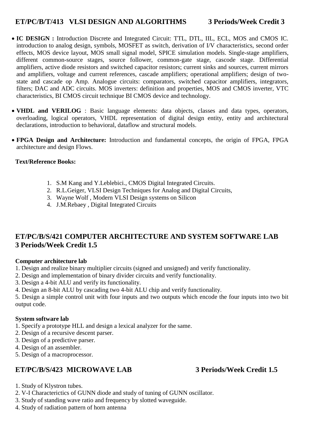# **ET/PC/B/T/413 VLSI DESIGN AND ALGORITHMS 3 Periods/Week Credit 3**

- **IC DESIGN :** Introduction Discrete and Integrated Circuit: TTL, DTL, IIL, ECL, MOS and CMOS IC. introduction to analog design, symbols, MOSFET as switch, derivation of I/V characteristics, second order effects, MOS device layout, MOS small signal model, SPICE simulation models. Single-stage amplifiers, different common-source stages, source follower, common-gate stage, cascode stage. Differential amplifiers, active diode resistors and switched capacitor resistors; current sinks and sources, current mirrors and amplifiers, voltage and current references, cascade amplifiers; operational amplifiers; design of twostate and cascade op Amp. Analogue circuits: comparators, switched capacitor amplifiers, integrators, filters; DAC and ADC circuits. MOS inverters: definition and properties, MOS and CMOS inverter, VTC characteristics, BI CMOS circuit technique BI CMOS device and technology.
- **VHDL and VERILOG** : Basic language elements: data objects, classes and data types, operators, overloading, logical operators, VHDL representation of digital design entity, entity and architectural declarations, introduction to behavioral, dataflow and structural models.
- **FPGA Design and Architecture:** Introduction and fundamental concepts, the origin of FPGA, FPGA architecture and design Flows.

# **Text/Reference Books:**

- 1. S.M Kang and Y.Leblebici., CMOS Digital Integrated Circuits.
- 2. R.L.Geiger, VLSI Design Techniques for Analog and Digital Circuits,
- 3. Wayne Wolf , Modern VLSI Design systems on Silicon
- 4. J.M.Rebaey , Digital Integrated Circuits

# **ET/PC/B/S/421 COMPUTER ARCHITECTURE AND SYSTEM SOFTWARE LAB 3 Periods/Week Credit 1.5**

# **Computer architecture lab**

- 1. Design and realize binary multiplier circuits (signed and unsigned) and verify functionality.
- 2. Design and implementation of binary divider circuits and verify functionality.
- 3. Design a 4-bit ALU and verify its functionality.
- 4. Design an 8-bit ALU by cascading two 4-bit ALU chip and verify functionality.

5. Design a simple control unit with four inputs and two outputs which encode the four inputs into two bit output code.

# **System software lab**

- 1. Specify a prototype HLL and design a lexical analyzer for the same.
- 2. Design of a recursive descent parser.
- 3. Design of a predictive parser.
- 4. Design of an assembler.
- 5. Design of a macroprocessor.

# **ET/PC/B/S/423 MICROWAVE LAB 3 Periods/Week Credit 1.5**

- 1. Study of Klystron tubes.
- 2. V-I Characterictics of GUNN diode and study of tuning of GUNN oscillator.
- 3. Study of standing wave ratio and frequency by slotted waveguide.
- 4. Study of radiation pattern of horn antenna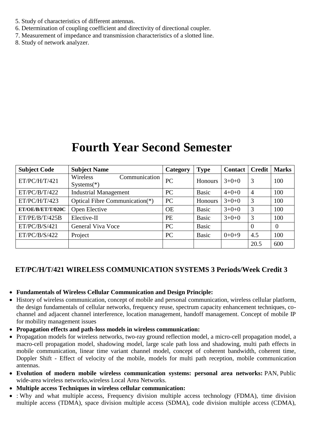- 5. Study of characteristics of different antennas.
- 6. Determination of coupling coefficient and directivity of directional coupler.
- 7. Measurement of impedance and transmission characteristics of a slotted line.
- 8. Study of network analyzer.

# **Fourth Year Second Semester**

| <b>Subject Code</b> | <b>Subject Name</b>                       | Category  | <b>Type</b>    | <b>Contact</b> | <b>Credit</b>  | <b>Marks</b>   |
|---------------------|-------------------------------------------|-----------|----------------|----------------|----------------|----------------|
| ET/PC/H/T/421       | Wireless<br>Communication<br>$Systems(*)$ | PC        | <b>Honours</b> | $3+0+0$        | 3              | 100            |
| ET/PC/B/T/422       | <b>Industrial Management</b>              | PC        | <b>Basic</b>   | $4+0+0$        | $\overline{4}$ | 100            |
| ET/PC/H/T/423       | Optical Fibre Communication(*)            | <b>PC</b> | Honours        | $3+0+0$        | 3              | 100            |
| ET/OE/B/ET/T/020C   | Open Elective                             | <b>OE</b> | <b>Basic</b>   | $3+0+0$        | 3              | 100            |
| ET/PE/B/T/425B      | Elective-II                               | <b>PE</b> | <b>Basic</b>   | $3+0+0$        | 3              | 100            |
| ET/PC/B/S/421       | General Viva Voce                         | PC        | <b>Basic</b>   |                | $\overline{0}$ | $\overline{0}$ |
| ET/PC/B/S/422       | Project                                   | PC        | <b>Basic</b>   | $0+0+9$        | 4.5            | 100            |
|                     |                                           |           |                |                | 20.5           | 600            |

# **ET/PC/H/T/421 WIRELESS COMMUNICATION SYSTEMS 3 Periods/Week Credit 3**

- **Fundamentals of Wireless Cellular Communication and Design Principle:**
- History of wireless communication, concept of mobile and personal communication, wireless cellular platform, the design fundamentals of cellular networks, frequency reuse, spectrum capacity enhancement techniques, cochannel and adjacent channel interference, location management, handoff management. Concept of mobile IP for mobility management issues
- **Propagation effects and path-loss models in wireless communication:**
- Propagation models for wireless networks, two-ray ground reflection model, a micro-cell propagation model, a macro-cell propagation model, shadowing model, large scale path loss and shadowing, multi path effects in mobile communication, linear time variant channel model, concept of coherent bandwidth, coherent time, Doppler Shift - Effect of velocity of the mobile, models for multi path reception, mobile communication antennas.
- **Evolution of modern mobile wireless communication systems: personal area networks:** PAN, Public wide-area wireless networks,wireless Local Area Networks.
- **Multiple access Techniques in wireless cellular communication:**
- : Why and what multiple access, Frequency division multiple access technology (FDMA), time division multiple access (TDMA), space division multiple access (SDMA), code division multiple access (CDMA),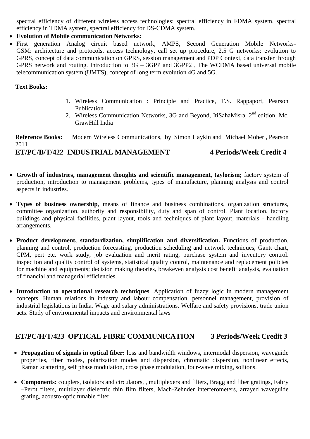spectral efficiency of different wireless access technologies: spectral efficiency in FDMA system, spectral efficiency in TDMA system, spectral efficiency for DS-CDMA system.

### **Evolution of Mobile communication Networks:**

 First generation Analog circuit based network, AMPS, Second Generation Mobile Networks-GSM: architecture and protocols, access technology, call set up procedure, 2.5 G networks: evolution to GPRS, concept of data communication on GPRS, session management and PDP Context, data transfer through GPRS network and routing. Introduction to 3G – 3GPP and 3GPP2 , The WCDMA based universal mobile telecommunication system (UMTS), concept of long term evolution 4G and 5G.

#### **Text Books:**

- 1. Wireless Communication : Principle and Practice, T.S. Rappaport, Pearson Publication
- 2. Wireless Communication Networks, 3G and Beyond, ItiSahaMisra, 2<sup>nd</sup> edition, Mc. GrawHill India

**Reference Books:** Modern Wireless Communications, by [Simon Haykin](https://www.rediffmail.com/cgi-bin/red.cgi?red=https%3A%2F%2Fwww%2Eamazon%2Ein%2Fs%2Fref%3Ddp%5Fbyline%5Fsr%5Fbook%5F1%3Fie%3DUTF8%26amp%3Bfield%2Dauthor%3DSimon%2BHaykin%26amp%3Bsearch%2Dalias%3Dstripbooks&isImage=0&BlockImage=0&rediffng=0&rogue=aa0cba11b2a77d99dbbe1f7c18c46df737b11b3e&rdf=VXMGbAVnUjsFMVN0CjQ=) and [Michael Moher](https://www.rediffmail.com/cgi-bin/red.cgi?red=https%3A%2F%2Fwww%2Eamazon%2Ein%2Fs%2Fref%3Ddp%5Fbyline%5Fsr%5Fbook%5F2%3Fie%3DUTF8%26amp%3Bfield%2Dauthor%3DMichael%2BMoher%26amp%3Bsearch%2Dalias%3Dstripbooks&isImage=0&BlockImage=0&rediffng=0&rogue=c157cb52ea8dbc5c0c6b60c7bf517a8ac5037504&rdf=VHIHbQNhVTwANFVyCzU=) , Pearson 2011 **ET/PC/B/T/422 INDUSTRIAL MANAGEMENT 4 Periods/Week Credit 4**

- **Growth of industries, management thoughts and scientific management, taylorism;** factory system of production, introduction to management problems, types of manufacture, planning analysis and control aspects in industries.
- **Types of business ownership**, means of finance and business combinations, organization structures, committee organization, authority and responsibility, duty and span of control. Plant location, factory buildings and physical facilities, plant layout, tools and techniques of plant layout, materials - handling arrangements.
- **Product development, standardization, simplification and diversification.** Functions of production, planning and control, production forecasting, production scheduling and network techniques, Gantt chart, CPM, pert etc. work study, job evaluation and merit rating; purchase system and inventory control. inspection and quality control of systems, statistical quality control, maintenance and replacement policies for machine and equipments; decision making theories, breakeven analysis cost benefit analysis, evaluation of financial and managerial efficiencies.
- **Introduction to operational research techniques**. Application of fuzzy logic in modern management concepts. Human relations in industry and labour compensation. personnel management, provision of industrial legislations in India. Wage and salary administrations. Welfare and safety provisions, trade union acts. Study of environmental impacts and environmental laws

# **ET/PC/H/T/423 OPTICAL FIBRE COMMUNICATION 3 Periods/Week Credit 3**

- **Propagation of signals in optical fiber:** loss and bandwidth windows, intermodal dispersion, waveguide properties, fiber modes, polarization modes and dispersion, chromatic dispersion, nonlinear effects, Raman scattering, self phase modulation, cross phase modulation, four-wave mixing, solitons.
- **Components:** couplers, isolators and circulators, , multiplexers and filters, Bragg and fiber gratings, Fabry –Perot filters, multilayer dielectric thin film filters, Mach-Zehnder interferometers, arrayed waveguide grating, acousto-optic tunable filter.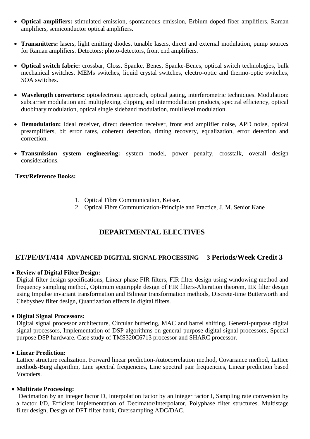- **Optical amplifiers:** stimulated emission, spontaneous emission, Erbium-doped fiber amplifiers, Raman amplifiers, semiconductor optical amplifiers.
- **Transmitters:** lasers, light emitting diodes, tunable lasers, direct and external modulation, pump sources for Raman amplifiers. Detectors: photo-detectors, front end amplifiers.
- **Optical switch fabric:** crossbar, Closs, Spanke, Benes, Spanke-Benes, optical switch technologies, bulk mechanical switches, MEMs switches, liquid crystal switches, electro-optic and thermo-optic switches, SOA switches.
- **Wavelength converters:** optoelectronic approach, optical gating, interferometric techniques. Modulation: subcarrier modulation and multiplexing, clipping and intermodulation products, spectral efficiency, optical duobinary modulation, optical single sideband modulation, multilevel modulation.
- **Demodulation:** Ideal receiver, direct detection receiver, front end amplifier noise, APD noise, optical preamplifiers, bit error rates, coherent detection, timing recovery, equalization, error detection and correction.
- **Transmission system engineering:** system model, power penalty, crosstalk, overall design considerations.

### **Text/Reference Books:**

- 1. Optical Fibre Communication, Keiser.
- 2. Optical Fibre Communication-Principle and Practice, J. M. Senior Kane

# **DEPARTMENTAL ELECTIVES**

# **ET/PE/B/T/414 ADVANCED DIGITAL SIGNAL PROCESSING 3 Periods/Week Credit 3**

#### **Review of Digital Filter Design:**

Digital filter design specifications, Linear phase FIR filters, FIR filter design using windowing method and frequency sampling method, Optimum equiripple design of FIR filters-Alteration theorem, IIR filter design using Impulse invariant transformation and Bilinear transformation methods, Discrete-time Butterworth and Chebyshev filter design, Quantization effects in digital filters.

#### **Digital Signal Processors:**

Digital signal processor architecture, Circular buffering, MAC and barrel shifting, General-purpose digital signal processors, Implementation of DSP algorithms on general-purpose digital signal processors, Special purpose DSP hardware. Case study of TMS320C6713 processor and SHARC processor.

#### **Linear Prediction:**

Lattice structure realization, Forward linear prediction-Autocorrelation method, Covariance method, Lattice methods-Burg algorithm, Line spectral frequencies, Line spectral pair frequencies, Linear prediction based Vocoders.

#### **Multirate Processing:**

Decimation by an integer factor D, Interpolation factor by an integer factor I, Sampling rate conversion by a factor I/D, Efficient implementation of Decimator/Interpolator, Polyphase filter structures. Multistage filter design, Design of DFT filter bank, Oversampling ADC/DAC.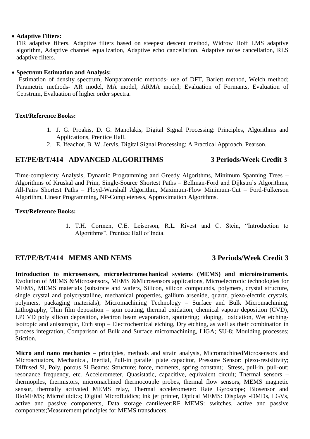#### **Adaptive Filters:**

FIR adaptive filters, Adaptive filters based on steepest descent method, Widrow Hoff LMS adaptive algorithm, Adaptive channel equalization, Adaptive echo cancellation, Adaptive noise cancellation, RLS adaptive filters.

#### **Spectrum Estimation and Analysis:**

Estimation of density spectrum, Nonparametric methods- use of DFT, Barlett method, Welch method; Parametric methods- AR model, MA model, ARMA model; Evaluation of Formants, Evaluation of Cepstrum, Evaluation of higher order spectra.

#### **Text/Reference Books:**

- 1. J. G. Proakis, D. G. Manolakis, Digital Signal Processing: Principles, Algorithms and Applications, Prentice Hall.
- 2. E. Ifeachor, B. W. Jervis, Digital Signal Processing: A Practical Approach, Pearson.

# **ET/PE/B/T/414 ADVANCED ALGORITHMS 3 Periods/Week Credit 3**

Time-complexity Analysis, Dynamic Programming and Greedy Algorithms, Minimum Spanning Trees – Algorithms of Kruskal and Prim, Single-Source Shortest Paths – Bellman-Ford and Dijkstra's Algorithms, All-Pairs Shortest Paths – Floyd-Warshall Algorithm, Maximum-Flow Minimum-Cut – Ford-Fulkerson Algorithm, Linear Programming, NP-Completeness, Approximation Algorithms.

#### **Text/Reference Books:**

1. T.H. Cormen, C.E. Leiserson, R.L. Rivest and C. Stein, "Introduction to Algorithms", Prentice Hall of India.

# **ET/PE/B/T/414 MEMS AND NEMS 3 Periods/Week Credit 3**

**Introduction to microsensors, microelectromechanical systems (MEMS) and microinstruments.** Evolution of MEMS &Microsensors, MEMS &Microsensors applications, Microelectronic technologies for MEMS, MEMS materials (substrate and wafers, Silicon, silicon compounds, polymers, crystal structure, single crystal and polycrystalline, mechanical properties, gallium arsenide, quartz, piezo-electric crystals, polymers, packaging materials); Micromachining Technology – Surface and Bulk Micromachining, Lithography, Thin film deposition – spin coating, thermal oxidation, chemical vapour deposition (CVD), LPCVD poly silicon deposition, electron beam evaporation, sputtering; doping, oxidation, Wet etchingisotropic and anisotropic, Etch stop – Electrochemical etching, Dry etching, as well as their combination in process integration, Comparison of Bulk and Surface micromachining, LIGA; SU-8; Moulding processes; Stiction.

**Micro and nano mechanics –** principles, methods and strain analysis, MicromachinedMicrosensors and Microactuators, Mechanical, Inertial, Pull-in parallel plate capacitor, Pressure Sensor: piezo-resisitivity; Diffused Si, Poly, porous Si Beams: Structure; force, moments, spring constant; Stress, pull-in, pull-out; resonance frequency, etc. Accelerometer, Quasistatic, capacitive, equivalent circuit; Thermal sensors – thermopiles, thermistors, micromachined thermocouple probes, thermal flow sensors, MEMS magnetic sensor, thermally activated MEMS relay, Thermal accelerometer: Rate Gyroscope; Biosensor and BioMEMS; Microfluidics; Digital Microfluidics; Ink jet printer, Optical MEMS: Displays -DMDs, LGVs, active and passive components, Data storage cantilever;RF MEMS: switches, active and passive components;Measurement principles for MEMS transducers.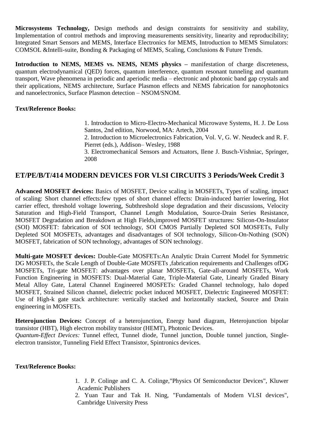**Microsystems Technology,** Design methods and design constraints for sensitivity and stability, Implementation of control methods and improving measurements sensitivity, linearity and reproducibility; Integrated Smart Sensors and MEMS, Interface Electronics for MEMS, Introduction to MEMS Simulators: COMSOL &Intelli-suite, Bonding & Packaging of MEMS, Scaling, Conclusions & Future Trends.

**Introduction to NEMS, MEMS vs. NEMS, NEMS physics –** manifestation of charge discreteness, quantum electrodynamical (QED) forces, quantum interference, quantum resonant tunneling and quantum transport, Wave phenomena in periodic and aperiodic media – electronic and photonic band gap crystals and their applications, NEMS architecture, Surface Plasmon effects and NEMS fabrication for nanophotonics and nanoelectronics, Surface Plasmon detection – NSOM/SNOM.

### **Text/Reference Books:**

1. Introduction to Micro-Electro-Mechanical Microwave Systems, H. J. De Loss Santos, 2nd edition, Norwood, MA: Artech, 2004

2. Introduction to Microelectronics Fabrication, Vol. V, G. W. Neudeck and R. F. Pierret (eds.), Addison– Wesley, 1988

3. Electromechanical Sensors and Actuators, Ilene J. Busch-Vishniac, Springer, 2008

# **ET/PE/B/T/414 MODERN DEVICES FOR VLSI CIRCUITS 3 Periods/Week Credit 3**

**Advanced MOSFET devices:** Basics of MOSFET, Device scaling in MOSFETs, Types of scaling, impact of scaling: Short channel effects:few types of short channel effects: Drain-induced barrier lowering, Hot carrier effect, threshold voltage lowering, Subthreshold slope degradation and their discussions, Velocity Saturation and High-Field Transport, Channel Length Modulation, Source-Drain Series Resistance, MOSFET Degradation and Breakdown at High Fields,improved MOSFET structures: Silicon-On-Insulator (SOI) MOSFET: fabrication of SOI technology, SOI CMOS Partially Depleted SOI MOSFETs, Fully Depleted SOI MOSFETs, advantages and disadvantages of SOI technology, Silicon-On-Nothing (SON) MOSFET, fabrication of SON technology, advantages of SON technology.

**Multi-gate MOSFET devices:** Double-Gate MOSFETs:An Analytic Drain Current Model for Symmetric DG MOSFETs, the Scale Length of Double-Gate MOSFETs ,fabrication requirements and Challenges ofDG MOSFETs, Tri-gate MOSFET: advantages over planar MOSFETs, Gate-all-around MOSFETs, Work Function Engineering in MOSFETS: Dual-Material Gate, Triple-Material Gate, Linearly Graded Binary Metal Alloy Gate, Lateral Channel Engineered MOSFETs: Graded Channel technology, halo doped MOSFET, Strained Silicon channel, dielectric pocket induced MOSFET, Dielectric Engineered MOSFET: Use of High-k gate stack architecture: vertically stacked and horizontally stacked, Source and Drain engineering in MOSFETs.

**Heterojunction Devices:** Concept of a heterojunction, Energy band diagram, Heterojunction bipolar transistor (HBT), High electron mobility transistor (HEMT), Photonic Devices.

*Quantum-Effect Devices:* Tunnel effect, Tunnel diode, Tunnel junction, Double tunnel junction, Singleelectron transistor, Tunneling Field Effect Transistor, Spintronics devices.

#### **Text/Reference Books:**

- 1. J. P. Colinge and C. A. Colinge,"Physics Of Semiconductor Devices", Kluwer Academic Publishers
- 2. Yuan Taur and Tak H. Ning, "Fundamentals of Modern VLSI devices", Cambridge University Press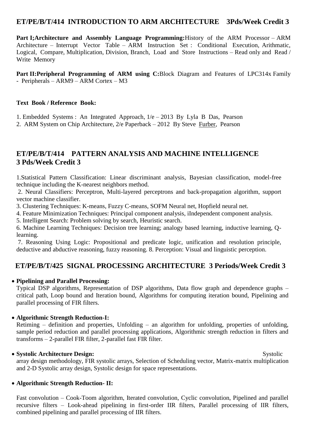# **ET/PE/B/T/414 INTRODUCTION TO ARM ARCHITECTURE 3Pds/Week Credit 3**

**Part I;Architecture and Assembly Language Programming:**History of the ARM Processor – ARM Architecture – Interrupt Vector Table – ARM Instruction Set : Conditional Execution, Arithmatic, Logical, Compare, Multiplication, Division, Branch, Load and Store Instructions – Read only and Read / Write Memory

**Part II:Peripheral Programming of ARM using C:**Block Diagram and Features of LPC314x Family - Peripherals – ARM9 – ARM Cortex – M3

### **Text Book / Reference Book:**

1. Embedded Systems : An Integrated Approach, 1/e – 2013 By Lyla B Das, Pearson

2. ARM System on Chip Architecture, 2/e Paperback – 2012 By Steve [Furber,](https://www.amazon.in/s/ref=dp_byline_sr_book_1?ie=UTF8&field-author=Furber&search-alias=stripbooks) Pearson

# **ET/PE/B/T/414 PATTERN ANALYSIS AND MACHINE INTELLIGENCE 3 Pds/Week Credit 3**

1.Statistical Pattern Classification: Linear discriminant analysis, Bayesian classification, model-free technique including the K-nearest neighbors method.

2. Neural Classifiers: Perceptron, Multi-layered perceptrons and back-propagation algorithm, support vector machine classifier.

3. Clustering Techniques: K-means, Fuzzy C-means, SOFM Neural net, Hopfield neural net.

4. Feature Minimization Techniques: Principal component analysis, iIndependent component analysis.

5. Intelligent Search: Problem solving by search, Heuristic search.

6. Machine Learning Techniques: Decision tree learning; analogy based learning, inductive learning, Qlearning.

7. Reasoning Using Logic: Propositional and predicate logic, unification and resolution principle, deductive and abductive reasoning, fuzzy reasoning. 8. Perception: Visual and linguistic perception.

# **ET/PE/B/T/425 SIGNAL PROCESSING ARCHITECTURE 3 Periods/Week Credit 3**

# **Pipelining and Parallel Processing:**

Typical DSP algorithms, Representation of DSP algorithms, Data flow graph and dependence graphs – critical path, Loop bound and Iteration bound, Algorithms for computing iteration bound, Pipelining and parallel processing of FIR filters.

# **Algorithmic Strength Reduction-I:**

Retiming – definition and properties, Unfolding – an algorithm for unfolding, properties of unfolding, sample period reduction and parallel processing applications, Algorithmic strength reduction in filters and transforms – 2-parallel FIR filter, 2-parallel fast FIR filter.

# **• Systolic Architecture Design:** Systolic Systolic Systolic Systolic Systolic Systolic Systolic Systolic Systolic Systolic Systolic Systolic Systolic Systolic Systolic Systolic Systolic Systolic Systolic Systolic Systolic

array design methodology, FIR systolic arrays, Selection of Scheduling vector, Matrix-matrix multiplication and 2-D Systolic array design, Systolic design for space representations.

# **Algorithmic Strength Reduction- II:**

Fast convolution – Cook-Toom algorithm, Iterated convolution, Cyclic convolution, Pipelined and parallel recursive filters – Look-ahead pipelining in first-order IIR filters, Parallel processing of IIR filters, combined pipelining and parallel processing of IIR filters.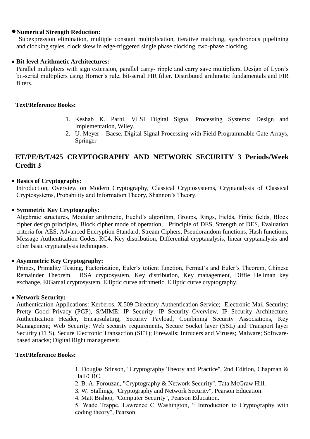#### **Numerical Strength Reduction:**

Subexpression elimination, multiple constant multiplication, iterative matching, synchronous pipelining and clocking styles, clock skew in edge-triggered single phase clocking, two-phase clocking.

### **Bit-level Arithmetic Architectures:**

Parallel multipliers with sign extension, parallel carry- ripple and carry save multipliers, Design of Lyon's bit-serial multipliers using Horner's rule, bit-serial FIR filter. Distributed arithmetic fundamentals and FIR filters.

#### **Text/Reference Books:**

- 1. Keshab K. Parhi, VLSI Digital Signal Processing Systems: Design and Implementation, Wiley.
- 2. U. Meyer Baese, Digital Signal Processing with Field Programmable Gate Arrays, Springer

# **ET/PE/B/T/425 CRYPTOGRAPHY AND NETWORK SECURITY 3 Periods/Week Credit 3**

### **Basics of Cryptography:**

Introduction, Overview on Modern Cryptography, Classical Cryptosystems, Cryptanalysis of Classical Cryptosystems, Probability and Information Theory, Shannon's Theory.

### **Symmetric Key Cryptography:**

Algebraic structures, Modular arithmetic, Euclid's algorithm, Groups, Rings, Fields, Finite fields, Block cipher design principles, Block cipher mode of operation, Principle of DES, Strength of DES, Evaluation criteria for AES, Advanced Encryption Standard, Stream Ciphers, Pseudorandom functions, Hash functions, Message Authentication Codes, RC4, Key distribution, Differential cryptanalysis, linear cryptanalysis and other basic cryptanalysis techniques.

#### **Asymmetric Key Cryptography:**

Primes, Primality Testing, Factorization, Euler's totient function, Fermat's and Euler's Theorem, Chinese Remainder Theorem, RSA cryptosystem, Key distribution, Key management, Diffie Hellman key exchange, ElGamal cryptosystem, Elliptic curve arithmetic, Elliptic curve cryptography.

#### **Network Security:**

Authentication Applications: Kerberos, X.509 Directory Authentication Service; Electronic Mail Security: Pretty Good Privacy (PGP), S/MIME; IP Security: IP Security Overview, IP Security Architecture, Authentication Header, Encapsulating, Security Payload, Combining Security Associations, Key Management; Web Security: Web security requirements, Secure Socket layer (SSL) and Transport layer Security (TLS), Secure Electronic Transaction (SET); Firewalls; Intruders and Viruses; Malware; Softwarebased attacks; Digital Right management.

#### **Text/Reference Books:**

1. Douglas Stinson, "Cryptography Theory and Practice", 2nd Edition, Chapman & Hall/CRC.

2. B. A. Forouzan, "Cryptography & Network Security", Tata McGraw Hill.

3. W. Stallings, "Cryptography and Network Security", Pearson Education.

4. Matt Bishop, "Computer Security", Pearson Education.

5. Wade Trappe, Lawrence C Washington, "Introduction to Cryptography with coding theory", Pearson.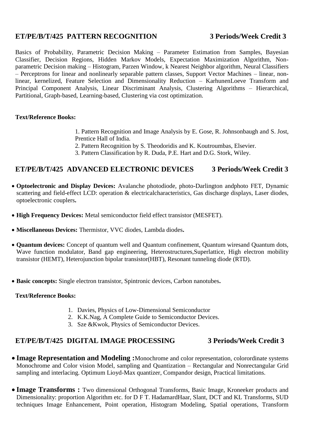# **ET/PE/B/T/425 PATTERN RECOGNITION 3 Periods/Week Credit 3**

Basics of Probability, Parametric Decision Making – Parameter Estimation from Samples, Bayesian Classifier, Decision Regions, Hidden Markov Models, Expectation Maximization Algorithm, Nonparametric Decision making – Histogram, Parzen Window, k Nearest Neighbor algorithm, Neural Classifiers – Perceptrons for linear and nonlinearly separable pattern classes, Support Vector Machines – linear, nonlinear, kernelized, Feature Selection and Dimensionality Reduction – KarhunenLoeve Transform and Principal Component Analysis, Linear Discriminant Analysis, Clustering Algorithms – Hierarchical, Partitional, Graph-based, Learning-based, Clustering via cost optimization.

# **Text/Reference Books:**

- 1. Pattern Recognition and Image Analysis by E. Gose, R. Johnsonbaugh and S. Jost, Prentice Hall of India.
- 2. Pattern Recognition by S. Theodoridis and K. Koutroumbas, Elsevier.
- 3. Pattern Classification by R. Duda, P.E. Hart and D.G. Stork, Wiley.

# **ET/PE/B/T/425 ADVANCED ELECTRONIC DEVICES 3 Periods/Week Credit 3**

- **Optoelectronic and Display Devices:** Avalanche photodiode, photo-Darlington andphoto FET, Dynamic scattering and field-effect LCD: operation & electricalcharacteristics, Gas discharge displays, Laser diodes, optoelectronic couplers**.**
- **High Frequency Devices:** Metal semiconductor field effect transistor (MESFET).
- **Miscellaneous Devices:** Thermistor, VVC diodes, Lambda diodes**.**
- **Quantum devices:** Concept of quantum well and Quantum confinement, Quantum wiresand Quantum dots, Wave function modulator, Band gap engineering, Heterostructures,Superlattice, High electron mobility transistor (HEMT), Heterojunction bipolar transistor(HBT), Resonant tunneling diode (RTD).
- **Basic concepts:** Single electron transistor, Spintronic devices, Carbon nanotubes**.**

#### **Text/Reference Books:**

- 1. Davies, Physics of Low-Dimensional Semiconductor
- 2. K.K.Nag, A Complete Guide to Semiconductor Devices.
- 3. Sze &Kwok, Physics of Semiconductor Devices.

# **ET/PE/B/T/425 DIGITAL IMAGE PROCESSING 3 Periods/Week Credit 3**

- **Image Representation and Modeling :**Monochrome and color representation, colorordinate systems Monochrome and Color vision Model, sampling and Quantization – Rectangular and Nonrectangular Grid sampling and interlacing. Optimum Lioyd-Max quantizer, Compandor design, Practical limitations.
- **Image Transforms :** Two dimensional Orthogonal Transforms, Basic Image, Kroneeker products and Dimensionality: proportion Algorithm etc. for D F T. HadamardHaar, Slant, DCT and KL Transforms, SUD techniques Image Enhancement, Point operation, Histogram Modeling, Spatial operations, Transform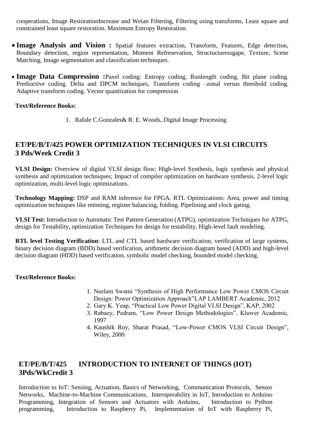cooperations, Image RestorationIncrease and Weian Filtering, Filtering using transforms, Least square and constrained least square restoration. Maximum Entropy Restoration.

- **Image Analysis and Vision :** Spatial features extraction, Transform, Features, Edge detection, Boundary detection, region representation, Moment Refresevation, Structucturessgape, Texture, Scene Matching, Image segmentation and classification techniques.
- **Image Data Compression :**Paxel coding: Entropy coding, Runlength coding, Bit plane coding. Predioctive coding. Delta and DPCM techniques, Transform coding –zonal versus threshold coding. Adaptive transform coding. Vector quantization for compression

### **Text/Reference Books:**

1. Rafale C.Gonzales& R. E. Woods, Digital Image Processing

# **ET/PE/B/T/425 POWER OPTIMIZATION TECHNIQUES IN VLSI CIRCUITS 3 Pds/Week Credit 3**

**VLSI Design:** Overview of digital VLSI design flow; High-level Synthesis, logic synthesis and physical synthesis and optimization techniques; Impact of compiler optimization on hardware synthesis, 2-level logic optimization, multi-level logic optimizations.

**Technology Mapping:** DSP and RAM inference for FPGA. RTL Optimizations: Area, power and timing optimization techniques like retiming, register balancing, folding. Pipelining and clock gating.

**VLSI Test:** Introduction to Automatic Test Pattern Generation (ATPG), optimization Techniques for ATPG, design for Testability, optimization Techniques for design for testability, High-level fault modeling.

**RTL level Testing Verification**: LTL and CTL based hardware verification, verification of large systems, binary decision diagram (BDD) based verification, arithmetic decision diagram based (ADD) and high-level decision diagram (HDD) based verification, symbolic model checking, bounded model checking.

#### **Text/Reference Books:**

- 1. Neelam Swami "Synthesis of High Performance Low Power CMOS Circuit Design: Power Optimization Approach"LAP LAMBERT Academic, 2012
- 2. Gary K. Yeap, "Practical Low Power Digital VLSI Design", KAP, 2002
- 3. Rabaey, Pedram, "Low Power Design Methodologies", Kluwer Academic, 1997
- 4. Kaushik Roy, Sharat Prasad, "Low-Power CMOS VLSI Circuit Design", Wiley, 2000

# **ET/PE/B/T/425 INTRODUCTION TO INTERNET OF THINGS (IOT) 3Pds/WkCredit 3**

Introduction to IoT: Sensing, Actuation, Basics of Networking, Communication Protocols, Sensor Networks, Machine-to-Machine Communications, Interoperability in IoT, Introduction to Arduino Programming, Integration of Sensors and Actuators with Arduino, Introduction to Python programming, Introduction to Raspberry Pi, Implementation of IoT with Raspberry Pi,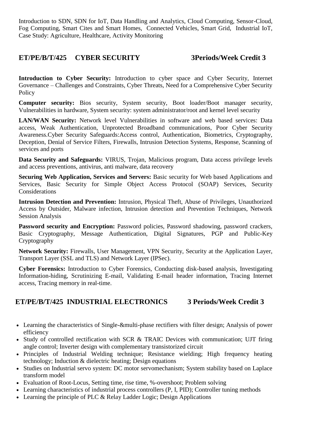Introduction to SDN, SDN for IoT, Data Handling and Analytics, Cloud Computing, Sensor-Cloud, Fog Computing, Smart Cites and Smart Homes, Connected Vehicles, Smart Grid, Industrial IoT, Case Study: Agriculture, Healthcare, Activity Monitoring

# **ET/PE/B/T/425 CYBER SECURITY 3Periods/Week Credit 3**

**Introduction to Cyber Security:** Introduction to cyber space and Cyber Security, Internet Governance – Challenges and Constraints, Cyber Threats, Need for a Comprehensive Cyber Security Policy

**Computer security:** Bios security, System security, Boot loader/Boot manager security, Vulnerabilities in hardware, System security: system administrator/root and kernel level security

**LAN/WAN Security:** Network level Vulnerabilities in software and web based services: Data access, Weak Authentication, Unprotected Broadband communications, Poor Cyber Security Awareness.Cyber Security Safeguards:Access control, Authentication, Biometrics, Cryptography, Deception, Denial of Service Filters, Firewalls, Intrusion Detection Systems, Response, Scanning of services and ports

**Data Security and Safeguards:** VIRUS, Trojan, Malicious program, Data access privilege levels and access preventions, antivirus, anti malware, data recovery

**Securing Web Application, Services and Servers:** Basic security for Web based Applications and Services, Basic Security for Simple Object Access Protocol (SOAP) Services, Security Considerations

**Intrusion Detection and Prevention:** Intrusion, Physical Theft, Abuse of Privileges, Unauthorized Access by Outsider, Malware infection, Intrusion detection and Prevention Techniques, Network Session Analysis

**Password security and Encryption:** Password policies, Password shadowing, password crackers, Basic Cryptography, Message Authentication, Digital Signatures, PGP and Public-Key Cryptography

**Network Security:** Firewalls, User Management, VPN Security, Security at the Application Layer, Transport Layer (SSL and TLS) and Network Layer (IPSec).

**Cyber Forensics:** Introduction to Cyber Forensics, Conducting disk-based analysis, Investigating Information-hiding, Scrutinizing E-mail, Validating E-mail header information, Tracing Internet access, Tracing memory in real-time.

# **ET/PE/B/T/425 INDUSTRIAL ELECTRONICS 3 Periods/Week Credit 3**

- Learning the characteristics of Single-&multi-phase rectifiers with filter design; Analysis of power efficiency
- Study of controlled rectification with SCR & TRAIC Devices with communication; UJT firing angle control; Inverter design with complementary transistorized circuit
- Principles of Industrial Welding technique; Resistance wielding; High frequency heating technology; Induction & dielectric heating; Design equations
- Studies on Industrial servo system: DC motor servomechanism; System stability based on Laplace transform model
- Evaluation of Root-Locus, Setting time, rise time, %-overshoot; Problem solving
- Learning characteristics of industrial process controllers (P, I, PID); Controller tuning methods
- Learning the principle of PLC & Relay Ladder Logic; Design Applications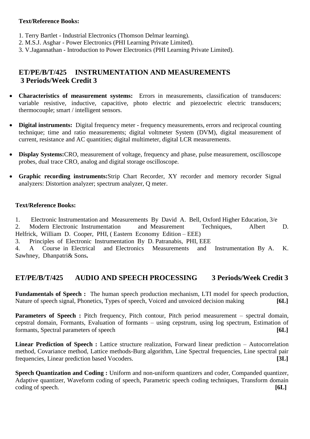### **Text/Reference Books:**

- 1. Terry Bartlet Industrial Electronics (Thomson Delmar learning).
- 2. M.S.J. Asghar Power Electronics (PHI Learning Private Limited).
- 3. V.Jagannathan Introduction to Power Electronics (PHI Learning Private Limited).

# **ET/PE/B/T/425 INSTRUMENTATION AND MEASUREMENTS 3 Periods/Week Credit 3**

- **Characteristics of measurement systems:** Errors in measurements, classification of transducers: variable resistive, inductive, capacitive, photo electric and piezoelectric electric transducers; thermocouple; smart / intelligent sensors.
- **Digital instruments:** Digital frequency meter frequency measurements, errors and reciprocal counting technique; time and ratio measurements; digital voltmeter System (DVM), digital measurement of current, resistance and AC quantities; digital multimeter, digital LCR measurements.
- **Display Systems:**CRO, measurement of voltage, frequency and phase, pulse measurement, oscilloscope probes, dual trace CRO, analog and digital storage oscilloscope.
- **Graphic recording instruments:**Strip Chart Recorder, XY recorder and memory recorder Signal analyzers: Distortion analyzer; spectrum analyzer, Q meter.

### **Text/Reference Books:**

- 1. Electronic Instrumentation and Measurements By David A. Bell, Oxford Higher Education, 3/e
- 2. Modern Electronic Instrumentation and Measurement Techniques, Albert D. Helfrick, William D. Cooper, PHI, (Eastern Economy Edition – EEE)
- 3. Principles of Electronic Instrumentation By D. Patranabis, PHI, EEE

4. A Course in Electrical and Electronics Measurements and Instrumentation By A. K. Sawhney, Dhanpatri& Sons**.**

# **ET/PE/B/T/425 AUDIO AND SPEECH PROCESSING 3 Periods/Week Credit 3**

**Fundamentals of Speech :** The human speech production mechanism, LTI model for speech production, Nature of speech signal, Phonetics, Types of speech, Voiced and unvoiced decision making **[6L]**

**Parameters of Speech :** Pitch frequency, Pitch contour, Pitch period measurement – spectral domain, cepstral domain, Formants, Evaluation of formants – using cepstrum, using log spectrum, Estimation of formants, Spectral parameters of speech **[6L]**

**Linear Prediction of Speech :** Lattice structure realization, Forward linear prediction – Autocorrelation method, Covariance method, Lattice methods-Burg algorithm, Line Spectral frequencies, Line spectral pair frequencies, Linear prediction based Vocoders. **[3L]**

**Speech Quantization and Coding :** Uniform and non-uniform quantizers and coder, Companded quantizer, Adaptive quantizer, Waveform coding of speech, Parametric speech coding techniques, Transform domain coding of speech. **[6L]**